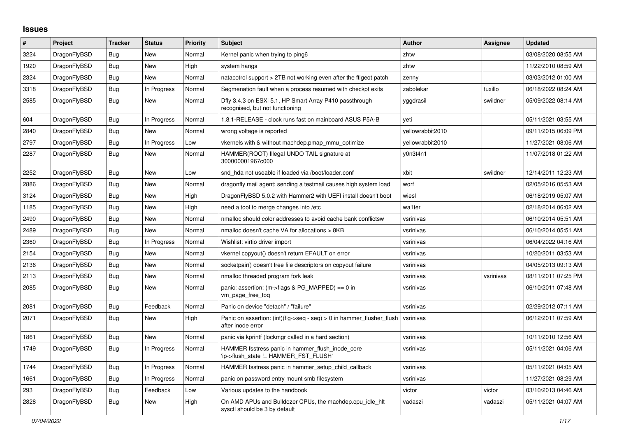## **Issues**

| $\#$ | Project      | <b>Tracker</b> | <b>Status</b> | <b>Priority</b> | <b>Subject</b>                                                                             | <b>Author</b>    | Assignee  | <b>Updated</b>      |
|------|--------------|----------------|---------------|-----------------|--------------------------------------------------------------------------------------------|------------------|-----------|---------------------|
| 3224 | DragonFlyBSD | Bug            | <b>New</b>    | Normal          | Kernel panic when trying to ping6                                                          | zhtw             |           | 03/08/2020 08:55 AM |
| 1920 | DragonFlyBSD | <b>Bug</b>     | <b>New</b>    | High            | system hangs                                                                               | zhtw             |           | 11/22/2010 08:59 AM |
| 2324 | DragonFlyBSD | <b>Bug</b>     | <b>New</b>    | Normal          | natacotrol support > 2TB not working even after the ftigeot patch                          | zenny            |           | 03/03/2012 01:00 AM |
| 3318 | DragonFlyBSD | <b>Bug</b>     | In Progress   | Normal          | Segmenation fault when a process resumed with checkpt exits                                | zabolekar        | tuxillo   | 06/18/2022 08:24 AM |
| 2585 | DragonFlyBSD | <b>Bug</b>     | New           | Normal          | Dfly 3.4.3 on ESXi 5.1, HP Smart Array P410 passthrough<br>recognised, but not functioning | yggdrasil        | swildner  | 05/09/2022 08:14 AM |
| 604  | DragonFlyBSD | Bug            | In Progress   | Normal          | 1.8.1-RELEASE - clock runs fast on mainboard ASUS P5A-B                                    | veti             |           | 05/11/2021 03:55 AM |
| 2840 | DragonFlyBSD | <b>Bug</b>     | <b>New</b>    | Normal          | wrong voltage is reported                                                                  | vellowrabbit2010 |           | 09/11/2015 06:09 PM |
| 2797 | DragonFlyBSD | Bug            | In Progress   | Low             | vkernels with & without machdep.pmap mmu optimize                                          | yellowrabbit2010 |           | 11/27/2021 08:06 AM |
| 2287 | DragonFlyBSD | Bug            | New           | Normal          | HAMMER(ROOT) Illegal UNDO TAIL signature at<br>300000001967c000                            | y0n3t4n1         |           | 11/07/2018 01:22 AM |
| 2252 | DragonFlyBSD | Bug            | New           | Low             | snd hda not useable if loaded via /boot/loader.conf                                        | xbit             | swildner  | 12/14/2011 12:23 AM |
| 2886 | DragonFlyBSD | Bug            | New           | Normal          | dragonfly mail agent: sending a testmail causes high system load                           | worf             |           | 02/05/2016 05:53 AM |
| 3124 | DragonFlyBSD | <b>Bug</b>     | New           | High            | DragonFlyBSD 5.0.2 with Hammer2 with UEFI install doesn't boot                             | wiesl            |           | 06/18/2019 05:07 AM |
| 1185 | DragonFlyBSD | Bug            | <b>New</b>    | High            | need a tool to merge changes into /etc                                                     | wa1ter           |           | 02/18/2014 06:02 AM |
| 2490 | DragonFlyBSD | Bug            | New           | Normal          | nmalloc should color addresses to avoid cache bank conflictsw                              | vsrinivas        |           | 06/10/2014 05:51 AM |
| 2489 | DragonFlyBSD | Bug            | New           | Normal          | nmalloc doesn't cache VA for allocations > 8KB                                             | vsrinivas        |           | 06/10/2014 05:51 AM |
| 2360 | DragonFlyBSD | Bug            | In Progress   | Normal          | Wishlist: virtio driver import                                                             | vsrinivas        |           | 06/04/2022 04:16 AM |
| 2154 | DragonFlyBSD | Bug            | New           | Normal          | vkernel copyout() doesn't return EFAULT on error                                           | vsrinivas        |           | 10/20/2011 03:53 AM |
| 2136 | DragonFlyBSD | Bug            | <b>New</b>    | Normal          | socketpair() doesn't free file descriptors on copyout failure                              | vsrinivas        |           | 04/05/2013 09:13 AM |
| 2113 | DragonFlyBSD | <b>Bug</b>     | <b>New</b>    | Normal          | nmalloc threaded program fork leak                                                         | vsrinivas        | vsrinivas | 08/11/2011 07:25 PM |
| 2085 | DragonFlyBSD | <b>Bug</b>     | New           | Normal          | panic: assertion: (m->flags & PG_MAPPED) == 0 in<br>vm_page_free_toq                       | vsrinivas        |           | 06/10/2011 07:48 AM |
| 2081 | DragonFlyBSD | <b>Bug</b>     | Feedback      | Normal          | Panic on device "detach" / "failure"                                                       | vsrinivas        |           | 02/29/2012 07:11 AM |
| 2071 | DragonFlyBSD | Bug            | New           | High            | Panic on assertion: (int)(flg->seq - seq) > 0 in hammer flusher flush<br>after inode error | vsrinivas        |           | 06/12/2011 07:59 AM |
| 1861 | DragonFlyBSD | Bug            | New           | Normal          | panic via kprintf (lockmgr called in a hard section)                                       | vsrinivas        |           | 10/11/2010 12:56 AM |
| 1749 | DragonFlyBSD | Bug            | In Progress   | Normal          | HAMMER fsstress panic in hammer flush inode core<br>'ip->flush state != HAMMER FST FLUSH'  | vsrinivas        |           | 05/11/2021 04:06 AM |
| 1744 | DragonFlyBSD | <b>Bug</b>     | In Progress   | Normal          | HAMMER fsstress panic in hammer_setup_child_callback                                       | vsrinivas        |           | 05/11/2021 04:05 AM |
| 1661 | DragonFlyBSD | <b>Bug</b>     | In Progress   | Normal          | panic on password entry mount smb filesystem                                               | vsrinivas        |           | 11/27/2021 08:29 AM |
| 293  | DragonFlyBSD | Bug            | Feedback      | Low             | Various updates to the handbook                                                            | victor           | victor    | 03/10/2013 04:46 AM |
| 2828 | DragonFlyBSD | Bug            | New           | High            | On AMD APUs and Bulldozer CPUs, the machdep.cpu_idle_hlt<br>sysctl should be 3 by default  | vadaszi          | vadaszi   | 05/11/2021 04:07 AM |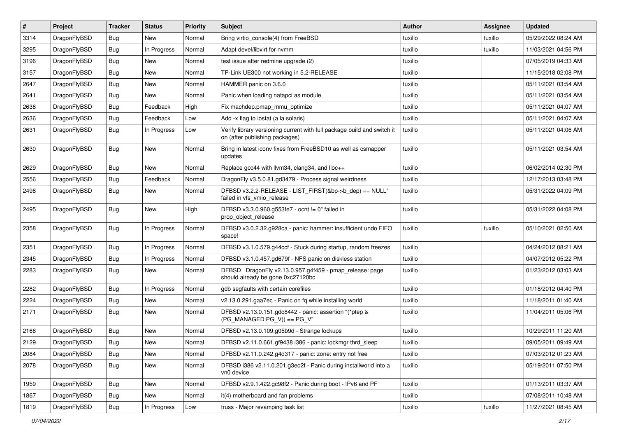| $\vert$ # | Project      | <b>Tracker</b> | <b>Status</b> | <b>Priority</b> | Subject                                                                                                   | <b>Author</b> | Assignee | <b>Updated</b>      |
|-----------|--------------|----------------|---------------|-----------------|-----------------------------------------------------------------------------------------------------------|---------------|----------|---------------------|
| 3314      | DragonFlyBSD | Bug            | New           | Normal          | Bring virtio_console(4) from FreeBSD                                                                      | tuxillo       | tuxillo  | 05/29/2022 08:24 AM |
| 3295      | DragonFlyBSD | Bug            | In Progress   | Normal          | Adapt devel/libvirt for nvmm                                                                              | tuxillo       | tuxillo  | 11/03/2021 04:56 PM |
| 3196      | DragonFlyBSD | <b>Bug</b>     | New           | Normal          | test issue after redmine upgrade (2)                                                                      | tuxillo       |          | 07/05/2019 04:33 AM |
| 3157      | DragonFlyBSD | <b>Bug</b>     | <b>New</b>    | Normal          | TP-Link UE300 not working in 5.2-RELEASE                                                                  | tuxillo       |          | 11/15/2018 02:08 PM |
| 2647      | DragonFlyBSD | Bug            | <b>New</b>    | Normal          | HAMMER panic on 3.6.0                                                                                     | tuxillo       |          | 05/11/2021 03:54 AM |
| 2641      | DragonFlyBSD | <b>Bug</b>     | New           | Normal          | Panic when loading natapci as module                                                                      | tuxillo       |          | 05/11/2021 03:54 AM |
| 2638      | DragonFlyBSD | Bug            | Feedback      | High            | Fix machdep.pmap_mmu_optimize                                                                             | tuxillo       |          | 05/11/2021 04:07 AM |
| 2636      | DragonFlyBSD | <b>Bug</b>     | Feedback      | Low             | Add -x flag to iostat (a la solaris)                                                                      | tuxillo       |          | 05/11/2021 04:07 AM |
| 2631      | DragonFlyBSD | <b>Bug</b>     | In Progress   | Low             | Verify library versioning current with full package build and switch it<br>on (after publishing packages) | tuxillo       |          | 05/11/2021 04:06 AM |
| 2630      | DragonFlyBSD | <b>Bug</b>     | New           | Normal          | Bring in latest iconv fixes from FreeBSD10 as well as csmapper<br>updates                                 | tuxillo       |          | 05/11/2021 03:54 AM |
| 2629      | DragonFlyBSD | Bug            | New           | Normal          | Replace gcc44 with llvm34, clang34, and libc++                                                            | tuxillo       |          | 06/02/2014 02:30 PM |
| 2556      | DragonFlyBSD | <b>Bug</b>     | Feedback      | Normal          | DragonFly v3.5.0.81.gd3479 - Process signal weirdness                                                     | tuxillo       |          | 12/17/2013 03:48 PM |
| 2498      | DragonFlyBSD | Bug            | New           | Normal          | DFBSD v3.2.2-RELEASE - LIST_FIRST(&bp->b_dep) == NULL"<br>failed in vfs_vmio_release                      | tuxillo       |          | 05/31/2022 04:09 PM |
| 2495      | DragonFlyBSD | Bug            | New           | High            | DFBSD v3.3.0.960.g553fe7 - ocnt != 0" failed in<br>prop_object_release                                    | tuxillo       |          | 05/31/2022 04:08 PM |
| 2358      | DragonFlyBSD | <b>Bug</b>     | In Progress   | Normal          | DFBSD v3.0.2.32.g928ca - panic: hammer: insufficient undo FIFO<br>space!                                  | tuxillo       | tuxillo  | 05/10/2021 02:50 AM |
| 2351      | DragonFlyBSD | <b>Bug</b>     | In Progress   | Normal          | DFBSD v3.1.0.579.g44ccf - Stuck during startup, random freezes                                            | tuxillo       |          | 04/24/2012 08:21 AM |
| 2345      | DragonFlyBSD | Bug            | In Progress   | Normal          | DFBSD v3.1.0.457.gd679f - NFS panic on diskless station                                                   | tuxillo       |          | 04/07/2012 05:22 PM |
| 2283      | DragonFlyBSD | Bug            | New           | Normal          | DFBSD DragonFly v2.13.0.957.g4f459 - pmap_release: page<br>should already be gone 0xc27120bc              | tuxillo       |          | 01/23/2012 03:03 AM |
| 2282      | DragonFlyBSD | Bug            | In Progress   | Normal          | gdb segfaults with certain corefiles                                                                      | tuxillo       |          | 01/18/2012 04:40 PM |
| 2224      | DragonFlyBSD | Bug            | <b>New</b>    | Normal          | v2.13.0.291.gaa7ec - Panic on fq while installing world                                                   | tuxillo       |          | 11/18/2011 01:40 AM |
| 2171      | DragonFlyBSD | Bug            | <b>New</b>    | Normal          | DFBSD v2.13.0.151.gdc8442 - panic: assertion "(*ptep &<br>$(PG$ MANAGED $ PG$ V)) == PG V"                | tuxillo       |          | 11/04/2011 05:06 PM |
| 2166      | DragonFlyBSD | Bug            | New           | Normal          | DFBSD v2.13.0.109.g05b9d - Strange lockups                                                                | tuxillo       |          | 10/29/2011 11:20 AM |
| 2129      | DragonFlyBSD | Bug            | New           | Normal          | DFBSD v2.11.0.661.gf9438 i386 - panic: lockmgr thrd_sleep                                                 | tuxillo       |          | 09/05/2011 09:49 AM |
| 2084      | DragonFlyBSD | Bug            | New           | Normal          | DFBSD v2.11.0.242.g4d317 - panic: zone: entry not free                                                    | tuxillo       |          | 07/03/2012 01:23 AM |
| 2078      | DragonFlyBSD | <b>Bug</b>     | New           | Normal          | DFBSD i386 v2.11.0.201.g3ed2f - Panic during installworld into a<br>vn0 device                            | tuxillo       |          | 05/19/2011 07:50 PM |
| 1959      | DragonFlyBSD | Bug            | New           | Normal          | DFBSD v2.9.1.422.gc98f2 - Panic during boot - IPv6 and PF                                                 | tuxillo       |          | 01/13/2011 03:37 AM |
| 1867      | DragonFlyBSD | <b>Bug</b>     | New           | Normal          | it(4) motherboard and fan problems                                                                        | tuxillo       |          | 07/08/2011 10:48 AM |
| 1819      | DragonFlyBSD | <b>Bug</b>     | In Progress   | Low             | truss - Major revamping task list                                                                         | tuxillo       | tuxillo  | 11/27/2021 08:45 AM |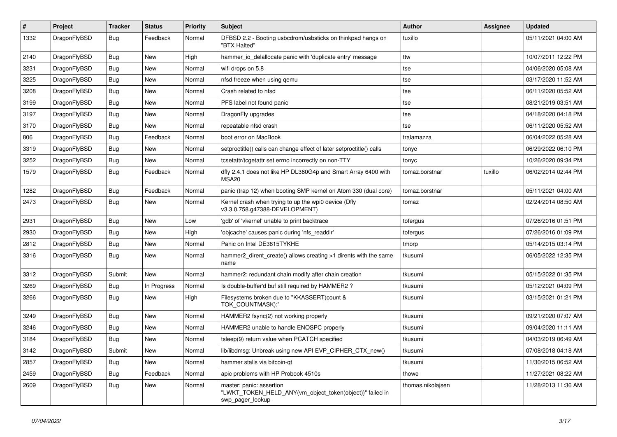| #    | Project      | <b>Tracker</b> | <b>Status</b> | <b>Priority</b> | Subject                                                                                                  | Author            | <b>Assignee</b> | <b>Updated</b>      |
|------|--------------|----------------|---------------|-----------------|----------------------------------------------------------------------------------------------------------|-------------------|-----------------|---------------------|
| 1332 | DragonFlyBSD | Bug            | Feedback      | Normal          | DFBSD 2.2 - Booting usbcdrom/usbsticks on thinkpad hangs on<br>"BTX Halted"                              | tuxillo           |                 | 05/11/2021 04:00 AM |
| 2140 | DragonFlyBSD | <b>Bug</b>     | <b>New</b>    | High            | hammer io delallocate panic with 'duplicate entry' message                                               | ttw               |                 | 10/07/2011 12:22 PM |
| 3231 | DragonFlyBSD | <b>Bug</b>     | New           | Normal          | wifi drops on 5.8                                                                                        | tse               |                 | 04/06/2020 05:08 AM |
| 3225 | DragonFlyBSD | <b>Bug</b>     | <b>New</b>    | Normal          | nfsd freeze when using qemu                                                                              | tse               |                 | 03/17/2020 11:52 AM |
| 3208 | DragonFlyBSD | <b>Bug</b>     | <b>New</b>    | Normal          | Crash related to nfsd                                                                                    | tse               |                 | 06/11/2020 05:52 AM |
| 3199 | DragonFlyBSD | <b>Bug</b>     | <b>New</b>    | Normal          | PFS label not found panic                                                                                | tse               |                 | 08/21/2019 03:51 AM |
| 3197 | DragonFlyBSD | <b>Bug</b>     | New           | Normal          | DragonFly upgrades                                                                                       | tse               |                 | 04/18/2020 04:18 PM |
| 3170 | DragonFlyBSD | <b>Bug</b>     | New           | Normal          | repeatable nfsd crash                                                                                    | tse               |                 | 06/11/2020 05:52 AM |
| 806  | DragonFlyBSD | Bug            | Feedback      | Normal          | boot error on MacBook                                                                                    | tralamazza        |                 | 06/04/2022 05:28 AM |
| 3319 | DragonFlyBSD | <b>Bug</b>     | New           | Normal          | setproctitle() calls can change effect of later setproctitle() calls                                     | tonyc             |                 | 06/29/2022 06:10 PM |
| 3252 | DragonFlyBSD | <b>Bug</b>     | <b>New</b>    | Normal          | tcsetattr/tcgetattr set errno incorrectly on non-TTY                                                     | tonyc             |                 | 10/26/2020 09:34 PM |
| 1579 | DragonFlyBSD | Bug            | Feedback      | Normal          | dfly 2.4.1 does not like HP DL360G4p and Smart Array 6400 with<br>MSA20                                  | tomaz.borstnar    | tuxillo         | 06/02/2014 02:44 PM |
| 1282 | DragonFlyBSD | <b>Bug</b>     | Feedback      | Normal          | panic (trap 12) when booting SMP kernel on Atom 330 (dual core)                                          | tomaz.borstnar    |                 | 05/11/2021 04:00 AM |
| 2473 | DragonFlyBSD | Bug            | <b>New</b>    | Normal          | Kernel crash when trying to up the wpi0 device (Dfly<br>v3.3.0.758.g47388-DEVELOPMENT)                   | tomaz             |                 | 02/24/2014 08:50 AM |
| 2931 | DragonFlyBSD | Bug            | <b>New</b>    | Low             | 'gdb' of 'vkernel' unable to print backtrace                                                             | tofergus          |                 | 07/26/2016 01:51 PM |
| 2930 | DragonFlyBSD | <b>Bug</b>     | <b>New</b>    | High            | 'objcache' causes panic during 'nfs readdir'                                                             | tofergus          |                 | 07/26/2016 01:09 PM |
| 2812 | DragonFlyBSD | <b>Bug</b>     | <b>New</b>    | Normal          | Panic on Intel DE3815TYKHE                                                                               | tmorp             |                 | 05/14/2015 03:14 PM |
| 3316 | DragonFlyBSD | Bug            | New           | Normal          | hammer2_dirent_create() allows creating >1 dirents with the same<br>name                                 | tkusumi           |                 | 06/05/2022 12:35 PM |
| 3312 | DragonFlyBSD | Submit         | New           | Normal          | hammer2: redundant chain modify after chain creation                                                     | tkusumi           |                 | 05/15/2022 01:35 PM |
| 3269 | DragonFlyBSD | Bug            | In Progress   | Normal          | Is double-buffer'd buf still required by HAMMER2?                                                        | tkusumi           |                 | 05/12/2021 04:09 PM |
| 3266 | DragonFlyBSD | Bug            | New           | High            | Filesystems broken due to "KKASSERT(count &<br>TOK_COUNTMASK);"                                          | tkusumi           |                 | 03/15/2021 01:21 PM |
| 3249 | DragonFlyBSD | <b>Bug</b>     | <b>New</b>    | Normal          | HAMMER2 fsync(2) not working properly                                                                    | tkusumi           |                 | 09/21/2020 07:07 AM |
| 3246 | DragonFlyBSD | <b>Bug</b>     | <b>New</b>    | Normal          | HAMMER2 unable to handle ENOSPC properly                                                                 | tkusumi           |                 | 09/04/2020 11:11 AM |
| 3184 | DragonFlyBSD | <b>Bug</b>     | <b>New</b>    | Normal          | tsleep(9) return value when PCATCH specified                                                             | tkusumi           |                 | 04/03/2019 06:49 AM |
| 3142 | DragonFlyBSD | Submit         | New           | Normal          | lib/libdmsg: Unbreak using new API EVP_CIPHER_CTX_new()                                                  | tkusumi           |                 | 07/08/2018 04:18 AM |
| 2857 | DragonFlyBSD | Bug            | New           | Normal          | hammer stalls via bitcoin-qt                                                                             | tkusumi           |                 | 11/30/2015 06:52 AM |
| 2459 | DragonFlyBSD | <b>Bug</b>     | Feedback      | Normal          | apic problems with HP Probook 4510s                                                                      | thowe             |                 | 11/27/2021 08:22 AM |
| 2609 | DragonFlyBSD | Bug            | New           | Normal          | master: panic: assertion<br>"LWKT TOKEN HELD ANY(vm object token(object))" failed in<br>swp_pager_lookup | thomas.nikolajsen |                 | 11/28/2013 11:36 AM |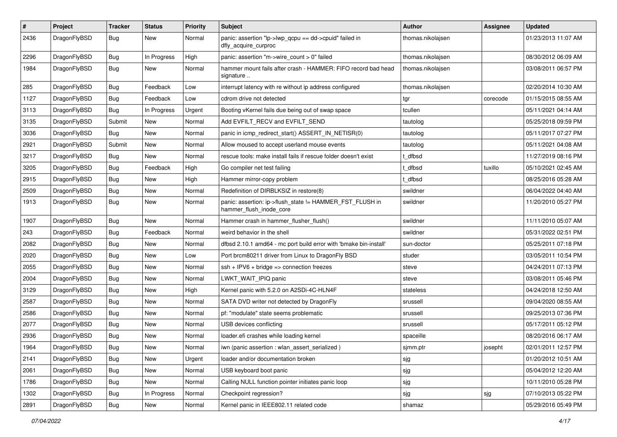| $\pmb{\#}$ | Project      | <b>Tracker</b> | <b>Status</b> | <b>Priority</b> | <b>Subject</b>                                                                      | <b>Author</b>     | <b>Assignee</b> | <b>Updated</b>      |
|------------|--------------|----------------|---------------|-----------------|-------------------------------------------------------------------------------------|-------------------|-----------------|---------------------|
| 2436       | DragonFlyBSD | Bug            | New           | Normal          | panic: assertion "lp->lwp_qcpu == dd->cpuid" failed in<br>dfly_acquire_curproc      | thomas.nikolajsen |                 | 01/23/2013 11:07 AM |
| 2296       | DragonFlyBSD | <b>Bug</b>     | In Progress   | High            | panic: assertion "m->wire count > 0" failed                                         | thomas.nikolajsen |                 | 08/30/2012 06:09 AM |
| 1984       | DragonFlyBSD | Bug            | New           | Normal          | hammer mount fails after crash - HAMMER: FIFO record bad head<br>signature          | thomas.nikolajsen |                 | 03/08/2011 06:57 PM |
| 285        | DragonFlyBSD | <b>Bug</b>     | Feedback      | Low             | interrupt latency with re without ip address configured                             | thomas.nikolajsen |                 | 02/20/2014 10:30 AM |
| 1127       | DragonFlyBSD | Bug            | Feedback      | Low             | cdrom drive not detected                                                            | tgr               | corecode        | 01/15/2015 08:55 AM |
| 3113       | DragonFlyBSD | Bug            | In Progress   | Urgent          | Booting vKernel fails due being out of swap space                                   | tcullen           |                 | 05/11/2021 04:14 AM |
| 3135       | DragonFlyBSD | Submit         | <b>New</b>    | Normal          | Add EVFILT RECV and EVFILT SEND                                                     | tautolog          |                 | 05/25/2018 09:59 PM |
| 3036       | DragonFlyBSD | Bug            | <b>New</b>    | Normal          | panic in icmp_redirect_start() ASSERT_IN_NETISR(0)                                  | tautolog          |                 | 05/11/2017 07:27 PM |
| 2921       | DragonFlyBSD | Submit         | New           | Normal          | Allow moused to accept userland mouse events                                        | tautolog          |                 | 05/11/2021 04:08 AM |
| 3217       | DragonFlyBSD | Bug            | <b>New</b>    | Normal          | rescue tools: make install fails if rescue folder doesn't exist                     | t dfbsd           |                 | 11/27/2019 08:16 PM |
| 3205       | DragonFlyBSD | <b>Bug</b>     | Feedback      | High            | Go compiler net test failing                                                        | dfbsd             | tuxillo         | 05/10/2021 02:45 AM |
| 2915       | DragonFlyBSD | Bug            | New           | High            | Hammer mirror-copy problem                                                          | dfbsd             |                 | 08/25/2016 05:28 AM |
| 2509       | DragonFlyBSD | Bug            | <b>New</b>    | Normal          | Redefinition of DIRBLKSIZ in restore(8)                                             | swildner          |                 | 06/04/2022 04:40 AM |
| 1913       | DragonFlyBSD | Bug            | New           | Normal          | panic: assertion: ip->flush_state != HAMMER_FST_FLUSH in<br>hammer_flush_inode_core | swildner          |                 | 11/20/2010 05:27 PM |
| 1907       | DragonFlyBSD | Bug            | <b>New</b>    | Normal          | Hammer crash in hammer_flusher_flush()                                              | swildner          |                 | 11/11/2010 05:07 AM |
| 243        | DragonFlyBSD | Bug            | Feedback      | Normal          | weird behavior in the shell                                                         | swildner          |                 | 05/31/2022 02:51 PM |
| 2082       | DragonFlyBSD | Bug            | <b>New</b>    | Normal          | dfbsd 2.10.1 amd64 - mc port build error with 'bmake bin-install'                   | sun-doctor        |                 | 05/25/2011 07:18 PM |
| 2020       | DragonFlyBSD | Bug            | <b>New</b>    | Low             | Port brcm80211 driver from Linux to DragonFly BSD                                   | studer            |                 | 03/05/2011 10:54 PM |
| 2055       | DragonFlyBSD | Bug            | <b>New</b>    | Normal          | $ssh + IPV6 + bridge \Rightarrow connection freezes$                                | steve             |                 | 04/24/2011 07:13 PM |
| 2004       | DragonFlyBSD | Bug            | <b>New</b>    | Normal          | LWKT_WAIT_IPIQ panic                                                                | steve             |                 | 03/08/2011 05:46 PM |
| 3129       | DragonFlyBSD | Bug            | <b>New</b>    | High            | Kernel panic with 5.2.0 on A2SDi-4C-HLN4F                                           | stateless         |                 | 04/24/2018 12:50 AM |
| 2587       | DragonFlyBSD | Bug            | <b>New</b>    | Normal          | SATA DVD writer not detected by DragonFly                                           | srussell          |                 | 09/04/2020 08:55 AM |
| 2586       | DragonFlyBSD | <b>Bug</b>     | New           | Normal          | pf: "modulate" state seems problematic                                              | srussell          |                 | 09/25/2013 07:36 PM |
| 2077       | DragonFlyBSD | <b>Bug</b>     | New           | Normal          | USB devices conflicting                                                             | srussell          |                 | 05/17/2011 05:12 PM |
| 2936       | DragonFlyBSD | Bug            | New           | Normal          | loader.efi crashes while loading kernel                                             | spaceille         |                 | 08/20/2016 06:17 AM |
| 1964       | DragonFlyBSD | Bug            | New           | Normal          | iwn (panic assertion : wlan_assert_serialized)                                      | sjmm.ptr          | josepht         | 02/01/2011 12:57 PM |
| 2141       | DragonFlyBSD | <b>Bug</b>     | New           | Urgent          | loader and/or documentation broken                                                  | sjg               |                 | 01/20/2012 10:51 AM |
| 2061       | DragonFlyBSD | Bug            | New           | Normal          | USB keyboard boot panic                                                             | sjg               |                 | 05/04/2012 12:20 AM |
| 1786       | DragonFlyBSD | <b>Bug</b>     | New           | Normal          | Calling NULL function pointer initiates panic loop                                  | sjg               |                 | 10/11/2010 05:28 PM |
| 1302       | DragonFlyBSD | <b>Bug</b>     | In Progress   | Normal          | Checkpoint regression?                                                              | sjg               | sjg             | 07/10/2013 05:22 PM |
| 2891       | DragonFlyBSD | <b>Bug</b>     | New           | Normal          | Kernel panic in IEEE802.11 related code                                             | shamaz            |                 | 05/29/2016 05:49 PM |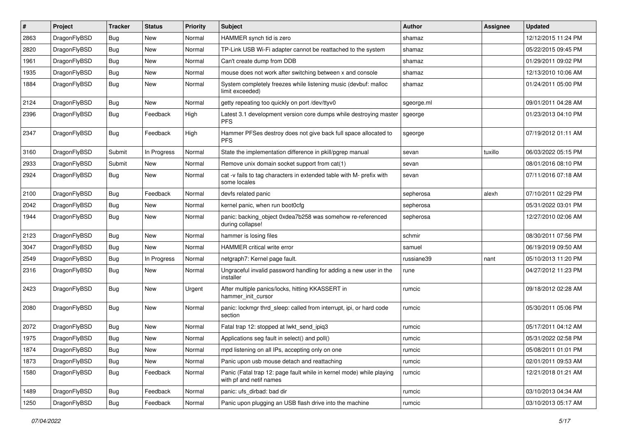| $\#$ | Project      | <b>Tracker</b> | <b>Status</b> | <b>Priority</b> | Subject                                                                                         | Author     | Assignee | <b>Updated</b>      |
|------|--------------|----------------|---------------|-----------------|-------------------------------------------------------------------------------------------------|------------|----------|---------------------|
| 2863 | DragonFlyBSD | Bug            | <b>New</b>    | Normal          | HAMMER synch tid is zero                                                                        | shamaz     |          | 12/12/2015 11:24 PM |
| 2820 | DragonFlyBSD | Bug            | <b>New</b>    | Normal          | TP-Link USB Wi-Fi adapter cannot be reattached to the system                                    | shamaz     |          | 05/22/2015 09:45 PM |
| 1961 | DragonFlyBSD | Bug            | New           | Normal          | Can't create dump from DDB                                                                      | shamaz     |          | 01/29/2011 09:02 PM |
| 1935 | DragonFlyBSD | Bug            | New           | Normal          | mouse does not work after switching between x and console                                       | shamaz     |          | 12/13/2010 10:06 AM |
| 1884 | DragonFlyBSD | <b>Bug</b>     | <b>New</b>    | Normal          | System completely freezes while listening music (devbuf: malloc<br>limit exceeded)              | shamaz     |          | 01/24/2011 05:00 PM |
| 2124 | DragonFlyBSD | Bug            | New           | Normal          | getty repeating too quickly on port /dev/ttyv0                                                  | sgeorge.ml |          | 09/01/2011 04:28 AM |
| 2396 | DragonFlyBSD | <b>Bug</b>     | Feedback      | High            | Latest 3.1 development version core dumps while destroying master<br><b>PFS</b>                 | sgeorge    |          | 01/23/2013 04:10 PM |
| 2347 | DragonFlyBSD | Bug            | Feedback      | High            | Hammer PFSes destroy does not give back full space allocated to<br><b>PFS</b>                   | sgeorge    |          | 07/19/2012 01:11 AM |
| 3160 | DragonFlyBSD | Submit         | In Progress   | Normal          | State the implementation difference in pkill/pgrep manual                                       | sevan      | tuxillo  | 06/03/2022 05:15 PM |
| 2933 | DragonFlyBSD | Submit         | New           | Normal          | Remove unix domain socket support from cat(1)                                                   | sevan      |          | 08/01/2016 08:10 PM |
| 2924 | DragonFlyBSD | Bug            | New           | Normal          | cat -v fails to tag characters in extended table with M- prefix with<br>some locales            | sevan      |          | 07/11/2016 07:18 AM |
| 2100 | DragonFlyBSD | <b>Bug</b>     | Feedback      | Normal          | devfs related panic                                                                             | sepherosa  | alexh    | 07/10/2011 02:29 PM |
| 2042 | DragonFlyBSD | <b>Bug</b>     | New           | Normal          | kernel panic, when run boot0cfg                                                                 | sepherosa  |          | 05/31/2022 03:01 PM |
| 1944 | DragonFlyBSD | Bug            | New           | Normal          | panic: backing_object 0xdea7b258 was somehow re-referenced<br>during collapse!                  | sepherosa  |          | 12/27/2010 02:06 AM |
| 2123 | DragonFlyBSD | Bug            | New           | Normal          | hammer is losing files                                                                          | schmir     |          | 08/30/2011 07:56 PM |
| 3047 | DragonFlyBSD | Bug            | New           | Normal          | HAMMER critical write error                                                                     | samuel     |          | 06/19/2019 09:50 AM |
| 2549 | DragonFlyBSD | <b>Bug</b>     | In Progress   | Normal          | netgraph7: Kernel page fault.                                                                   | russiane39 | nant     | 05/10/2013 11:20 PM |
| 2316 | DragonFlyBSD | <b>Bug</b>     | New           | Normal          | Ungraceful invalid password handling for adding a new user in the<br>installer                  | rune       |          | 04/27/2012 11:23 PM |
| 2423 | DragonFlyBSD | Bug            | New           | Urgent          | After multiple panics/locks, hitting KKASSERT in<br>hammer init cursor                          | rumcic     |          | 09/18/2012 02:28 AM |
| 2080 | DragonFlyBSD | <b>Bug</b>     | New           | Normal          | panic: lockmgr thrd sleep: called from interrupt, ipi, or hard code<br>section                  | rumcic     |          | 05/30/2011 05:06 PM |
| 2072 | DragonFlyBSD | Bug            | <b>New</b>    | Normal          | Fatal trap 12: stopped at lwkt_send_ipiq3                                                       | rumcic     |          | 05/17/2011 04:12 AM |
| 1975 | DragonFlyBSD | <b>Bug</b>     | New           | Normal          | Applications seg fault in select() and poll()                                                   | rumcic     |          | 05/31/2022 02:58 PM |
| 1874 | DragonFlyBSD | <b>Bug</b>     | New           | Normal          | mpd listening on all IPs, accepting only on one                                                 | rumcic     |          | 05/08/2011 01:01 PM |
| 1873 | DragonFlyBSD | Bug            | New           | Normal          | Panic upon usb mouse detach and reattaching                                                     | rumcic     |          | 02/01/2011 09:53 AM |
| 1580 | DragonFlyBSD | <b>Bug</b>     | Feedback      | Normal          | Panic (Fatal trap 12: page fault while in kernel mode) while playing<br>with pf and netif names | rumcic     |          | 12/21/2018 01:21 AM |
| 1489 | DragonFlyBSD | <b>Bug</b>     | Feedback      | Normal          | panic: ufs dirbad: bad dir                                                                      | rumcic     |          | 03/10/2013 04:34 AM |
| 1250 | DragonFlyBSD | <b>Bug</b>     | Feedback      | Normal          | Panic upon plugging an USB flash drive into the machine                                         | rumcic     |          | 03/10/2013 05:17 AM |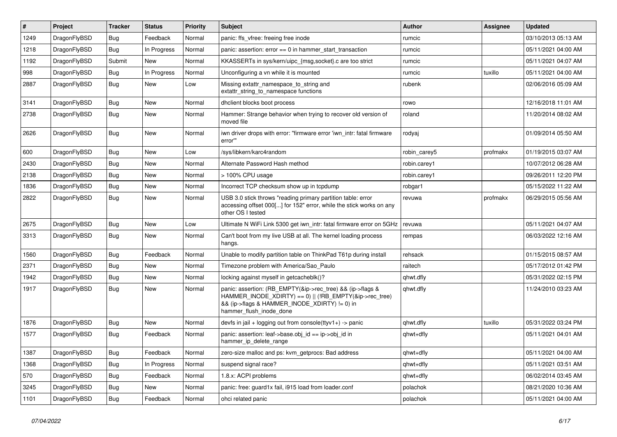| $\vert$ # | Project      | <b>Tracker</b> | <b>Status</b> | <b>Priority</b> | <b>Subject</b>                                                                                                                                                                                    | Author       | Assignee | <b>Updated</b>      |
|-----------|--------------|----------------|---------------|-----------------|---------------------------------------------------------------------------------------------------------------------------------------------------------------------------------------------------|--------------|----------|---------------------|
| 1249      | DragonFlyBSD | Bug            | Feedback      | Normal          | panic: ffs vfree: freeing free inode                                                                                                                                                              | rumcic       |          | 03/10/2013 05:13 AM |
| 1218      | DragonFlyBSD | Bug            | In Progress   | Normal          | panic: assertion: error == 0 in hammer_start_transaction                                                                                                                                          | rumcic       |          | 05/11/2021 04:00 AM |
| 1192      | DragonFlyBSD | Submit         | New           | Normal          | KKASSERTs in sys/kern/uipc_{msg,socket}.c are too strict                                                                                                                                          | rumcic       |          | 05/11/2021 04:07 AM |
| 998       | DragonFlyBSD | Bug            | In Progress   | Normal          | Unconfiguring a vn while it is mounted                                                                                                                                                            | rumcic       | tuxillo  | 05/11/2021 04:00 AM |
| 2887      | DragonFlyBSD | Bug            | New           | Low             | Missing extattr_namespace_to_string and<br>extattr string to namespace functions                                                                                                                  | rubenk       |          | 02/06/2016 05:09 AM |
| 3141      | DragonFlyBSD | Bug            | <b>New</b>    | Normal          | dhclient blocks boot process                                                                                                                                                                      | rowo         |          | 12/16/2018 11:01 AM |
| 2738      | DragonFlyBSD | Bug            | New           | Normal          | Hammer: Strange behavior when trying to recover old version of<br>moved file                                                                                                                      | roland       |          | 11/20/2014 08:02 AM |
| 2626      | DragonFlyBSD | Bug            | New           | Normal          | iwn driver drops with error: "firmware error 'iwn_intr: fatal firmware<br>error""                                                                                                                 | rodyaj       |          | 01/09/2014 05:50 AM |
| 600       | DragonFlyBSD | Bug            | <b>New</b>    | Low             | /sys/libkern/karc4random                                                                                                                                                                          | robin carey5 | profmakx | 01/19/2015 03:07 AM |
| 2430      | DragonFlyBSD | Bug            | <b>New</b>    | Normal          | Alternate Password Hash method                                                                                                                                                                    | robin.carey1 |          | 10/07/2012 06:28 AM |
| 2138      | DragonFlyBSD | <b>Bug</b>     | New           | Normal          | > 100% CPU usage                                                                                                                                                                                  | robin.carey1 |          | 09/26/2011 12:20 PM |
| 1836      | DragonFlyBSD | Bug            | <b>New</b>    | Normal          | Incorrect TCP checksum show up in tcpdump                                                                                                                                                         | robgar1      |          | 05/15/2022 11:22 AM |
| 2822      | DragonFlyBSD | Bug            | New           | Normal          | USB 3.0 stick throws "reading primary partition table: error<br>accessing offset 000[] for 152" error, while the stick works on any<br>other OS I tested                                          | revuwa       | profmakx | 06/29/2015 05:56 AM |
| 2675      | DragonFlyBSD | Bug            | New           | Low             | Ultimate N WiFi Link 5300 get iwn_intr: fatal firmware error on 5GHz                                                                                                                              | revuwa       |          | 05/11/2021 04:07 AM |
| 3313      | DragonFlyBSD | Bug            | New           | Normal          | Can't boot from my live USB at all. The kernel loading process<br>hangs.                                                                                                                          | rempas       |          | 06/03/2022 12:16 AM |
| 1560      | DragonFlyBSD | Bug            | Feedback      | Normal          | Unable to modify partition table on ThinkPad T61p during install                                                                                                                                  | rehsack      |          | 01/15/2015 08:57 AM |
| 2371      | DragonFlyBSD | Bug            | <b>New</b>    | Normal          | Timezone problem with America/Sao Paulo                                                                                                                                                           | raitech      |          | 05/17/2012 01:42 PM |
| 1942      | DragonFlyBSD | Bug            | <b>New</b>    | Normal          | locking against myself in getcacheblk()?                                                                                                                                                          | qhwt.dfly    |          | 05/31/2022 02:15 PM |
| 1917      | DragonFlyBSD | Bug            | <b>New</b>    | Normal          | panic: assertion: (RB_EMPTY(&ip->rec_tree) && (ip->flags &<br>HAMMER_INODE_XDIRTY) == 0)    (!RB_EMPTY(&ip->rec_tree)<br>&& (ip->flags & HAMMER_INODE_XDIRTY) != 0) in<br>hammer_flush_inode_done | qhwt.dfly    |          | 11/24/2010 03:23 AM |
| 1876      | DragonFlyBSD | Bug            | <b>New</b>    | Normal          | devfs in jail + logging out from console(ttyv1+) -> panic                                                                                                                                         | qhwt.dfly    | tuxillo  | 05/31/2022 03:24 PM |
| 1577      | DragonFlyBSD | Bug            | Feedback      | Normal          | panic: assertion: leaf->base.obj_id == ip->obj_id in<br>hammer_ip_delete_range                                                                                                                    | qhwt+dfly    |          | 05/11/2021 04:01 AM |
| 1387      | DragonFlyBSD | Bug            | Feedback      | Normal          | zero-size malloc and ps: kvm_getprocs: Bad address                                                                                                                                                | qhwt+dfly    |          | 05/11/2021 04:00 AM |
| 1368      | DragonFlyBSD | Bug            | In Progress   | Normal          | suspend signal race?                                                                                                                                                                              | qhwt+dfly    |          | 05/11/2021 03:51 AM |
| 570       | DragonFlyBSD | Bug            | Feedback      | Normal          | 1.8.x: ACPI problems                                                                                                                                                                              | qhwt+dfly    |          | 06/02/2014 03:45 AM |
| 3245      | DragonFlyBSD | <b>Bug</b>     | New           | Normal          | panic: free: guard1x fail, i915 load from loader.conf                                                                                                                                             | polachok     |          | 08/21/2020 10:36 AM |
| 1101      | DragonFlyBSD | <b>Bug</b>     | Feedback      | Normal          | ohci related panic                                                                                                                                                                                | polachok     |          | 05/11/2021 04:00 AM |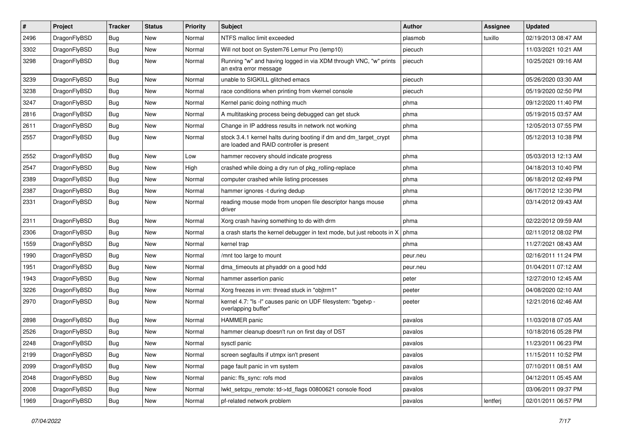| #    | Project      | <b>Tracker</b> | <b>Status</b> | <b>Priority</b> | Subject                                                                                                        | Author   | Assignee | <b>Updated</b>      |
|------|--------------|----------------|---------------|-----------------|----------------------------------------------------------------------------------------------------------------|----------|----------|---------------------|
| 2496 | DragonFlyBSD | <b>Bug</b>     | New           | Normal          | NTFS malloc limit exceeded                                                                                     | plasmob  | tuxillo  | 02/19/2013 08:47 AM |
| 3302 | DragonFlyBSD | <b>Bug</b>     | <b>New</b>    | Normal          | Will not boot on System76 Lemur Pro (lemp10)                                                                   | piecuch  |          | 11/03/2021 10:21 AM |
| 3298 | DragonFlyBSD | <b>Bug</b>     | New           | Normal          | Running "w" and having logged in via XDM through VNC, "w" prints<br>an extra error message                     | piecuch  |          | 10/25/2021 09:16 AM |
| 3239 | DragonFlyBSD | Bug            | New           | Normal          | unable to SIGKILL glitched emacs                                                                               | piecuch  |          | 05/26/2020 03:30 AM |
| 3238 | DragonFlyBSD | <b>Bug</b>     | <b>New</b>    | Normal          | race conditions when printing from vkernel console                                                             | piecuch  |          | 05/19/2020 02:50 PM |
| 3247 | DragonFlyBSD | <b>Bug</b>     | <b>New</b>    | Normal          | Kernel panic doing nothing much                                                                                | phma     |          | 09/12/2020 11:40 PM |
| 2816 | DragonFlyBSD | <b>Bug</b>     | <b>New</b>    | Normal          | A multitasking process being debugged can get stuck                                                            | phma     |          | 05/19/2015 03:57 AM |
| 2611 | DragonFlyBSD | <b>Bug</b>     | New           | Normal          | Change in IP address results in network not working                                                            | phma     |          | 12/05/2013 07:55 PM |
| 2557 | DragonFlyBSD | Bug            | New           | Normal          | stock 3.4.1 kernel halts during booting if dm and dm_target_crypt<br>are loaded and RAID controller is present | phma     |          | 05/12/2013 10:38 PM |
| 2552 | DragonFlyBSD | Bug            | <b>New</b>    | Low             | hammer recovery should indicate progress                                                                       | phma     |          | 05/03/2013 12:13 AM |
| 2547 | DragonFlyBSD | <b>Bug</b>     | New           | High            | crashed while doing a dry run of pkg rolling-replace                                                           | phma     |          | 04/18/2013 10:40 PM |
| 2389 | DragonFlyBSD | <b>Bug</b>     | <b>New</b>    | Normal          | computer crashed while listing processes                                                                       | phma     |          | 06/18/2012 02:49 PM |
| 2387 | DragonFlyBSD | <b>Bug</b>     | New           | Normal          | hammer ignores -t during dedup                                                                                 | phma     |          | 06/17/2012 12:30 PM |
| 2331 | DragonFlyBSD | <b>Bug</b>     | <b>New</b>    | Normal          | reading mouse mode from unopen file descriptor hangs mouse<br>driver                                           | phma     |          | 03/14/2012 09:43 AM |
| 2311 | DragonFlyBSD | <b>Bug</b>     | <b>New</b>    | Normal          | Xorg crash having something to do with drm                                                                     | phma     |          | 02/22/2012 09:59 AM |
| 2306 | DragonFlyBSD | <b>Bug</b>     | New           | Normal          | a crash starts the kernel debugger in text mode, but just reboots in X                                         | phma     |          | 02/11/2012 08:02 PM |
| 1559 | DragonFlyBSD | <b>Bug</b>     | <b>New</b>    | Normal          | kernel trap                                                                                                    | phma     |          | 11/27/2021 08:43 AM |
| 1990 | DragonFlyBSD | Bug            | <b>New</b>    | Normal          | /mnt too large to mount                                                                                        | peur.neu |          | 02/16/2011 11:24 PM |
| 1951 | DragonFlyBSD | <b>Bug</b>     | New           | Normal          | dma_timeouts at phyaddr on a good hdd                                                                          | peur.neu |          | 01/04/2011 07:12 AM |
| 1943 | DragonFlyBSD | <b>Bug</b>     | New           | Normal          | hammer assertion panic                                                                                         | peter    |          | 12/27/2010 12:45 AM |
| 3226 | DragonFlyBSD | <b>Bug</b>     | New           | Normal          | Xorg freezes in vm: thread stuck in "objtrm1"                                                                  | peeter   |          | 04/08/2020 02:10 AM |
| 2970 | DragonFlyBSD | <b>Bug</b>     | New           | Normal          | kernel 4.7: "Is -I" causes panic on UDF filesystem: "bgetvp -<br>overlapping buffer"                           | peeter   |          | 12/21/2016 02:46 AM |
| 2898 | DragonFlyBSD | <b>Bug</b>     | New           | Normal          | <b>HAMMER</b> panic                                                                                            | pavalos  |          | 11/03/2018 07:05 AM |
| 2526 | DragonFlyBSD | <b>Bug</b>     | New           | Normal          | hammer cleanup doesn't run on first day of DST                                                                 | pavalos  |          | 10/18/2016 05:28 PM |
| 2248 | DragonFlyBSD | <b>Bug</b>     | New           | Normal          | sysctl panic                                                                                                   | pavalos  |          | 11/23/2011 06:23 PM |
| 2199 | DragonFlyBSD | <b>Bug</b>     | New           | Normal          | screen segfaults if utmpx isn't present                                                                        | pavalos  |          | 11/15/2011 10:52 PM |
| 2099 | DragonFlyBSD | <b>Bug</b>     | <b>New</b>    | Normal          | page fault panic in vm system                                                                                  | pavalos  |          | 07/10/2011 08:51 AM |
| 2048 | DragonFlyBSD | <b>Bug</b>     | New           | Normal          | panic: ffs sync: rofs mod                                                                                      | pavalos  |          | 04/12/2011 05:45 AM |
| 2008 | DragonFlyBSD | <b>Bug</b>     | New           | Normal          | lwkt_setcpu_remote: td->td_flags 00800621 console flood                                                        | pavalos  |          | 03/06/2011 09:37 PM |
| 1969 | DragonFlyBSD | <b>Bug</b>     | New           | Normal          | pf-related network problem                                                                                     | pavalos  | lentferj | 02/01/2011 06:57 PM |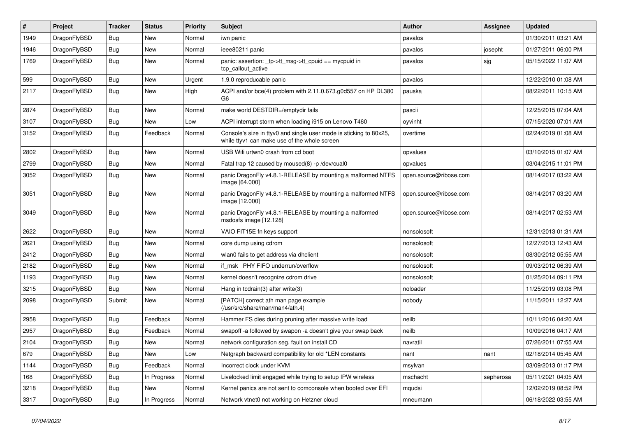| #    | Project      | <b>Tracker</b> | <b>Status</b> | <b>Priority</b> | Subject                                                                                                            | <b>Author</b>          | <b>Assignee</b> | <b>Updated</b>      |
|------|--------------|----------------|---------------|-----------------|--------------------------------------------------------------------------------------------------------------------|------------------------|-----------------|---------------------|
| 1949 | DragonFlyBSD | <b>Bug</b>     | <b>New</b>    | Normal          | iwn panic                                                                                                          | pavalos                |                 | 01/30/2011 03:21 AM |
| 1946 | DragonFlyBSD | <b>Bug</b>     | <b>New</b>    | Normal          | ieee80211 panic                                                                                                    | pavalos                | josepht         | 01/27/2011 06:00 PM |
| 1769 | DragonFlyBSD | <b>Bug</b>     | New           | Normal          | panic: assertion: _tp->tt_msg->tt_cpuid == mycpuid in<br>tcp_callout_active                                        | pavalos                | sjg             | 05/15/2022 11:07 AM |
| 599  | DragonFlyBSD | <b>Bug</b>     | New           | Urgent          | 1.9.0 reproducable panic                                                                                           | pavalos                |                 | 12/22/2010 01:08 AM |
| 2117 | DragonFlyBSD | <b>Bug</b>     | New           | High            | ACPI and/or bce(4) problem with 2.11.0.673.g0d557 on HP DL380<br>G6                                                | pauska                 |                 | 08/22/2011 10:15 AM |
| 2874 | DragonFlyBSD | <b>Bug</b>     | <b>New</b>    | Normal          | make world DESTDIR=/emptydir fails                                                                                 | pascii                 |                 | 12/25/2015 07:04 AM |
| 3107 | DragonFlyBSD | <b>Bug</b>     | New           | Low             | ACPI interrupt storm when loading i915 on Lenovo T460                                                              | oyvinht                |                 | 07/15/2020 07:01 AM |
| 3152 | DragonFlyBSD | <b>Bug</b>     | Feedback      | Normal          | Console's size in ttyv0 and single user mode is sticking to 80x25,<br>while ttyv1 can make use of the whole screen | overtime               |                 | 02/24/2019 01:08 AM |
| 2802 | DragonFlyBSD | <b>Bug</b>     | <b>New</b>    | Normal          | USB Wifi urtwn0 crash from cd boot                                                                                 | opvalues               |                 | 03/10/2015 01:07 AM |
| 2799 | DragonFlyBSD | <b>Bug</b>     | New           | Normal          | Fatal trap 12 caused by moused(8) -p /dev/cual0                                                                    | opvalues               |                 | 03/04/2015 11:01 PM |
| 3052 | DragonFlyBSD | Bug            | New           | Normal          | panic DragonFly v4.8.1-RELEASE by mounting a malformed NTFS<br>image [64.000]                                      | open.source@ribose.com |                 | 08/14/2017 03:22 AM |
| 3051 | DragonFlyBSD | <b>Bug</b>     | <b>New</b>    | Normal          | panic DragonFly v4.8.1-RELEASE by mounting a malformed NTFS<br>image [12.000]                                      | open.source@ribose.com |                 | 08/14/2017 03:20 AM |
| 3049 | DragonFlyBSD | <b>Bug</b>     | New           | Normal          | panic DragonFly v4.8.1-RELEASE by mounting a malformed<br>msdosfs image [12.128]                                   | open.source@ribose.com |                 | 08/14/2017 02:53 AM |
| 2622 | DragonFlyBSD | Bug            | <b>New</b>    | Normal          | VAIO FIT15E fn keys support                                                                                        | nonsolosoft            |                 | 12/31/2013 01:31 AM |
| 2621 | DragonFlyBSD | Bug            | <b>New</b>    | Normal          | core dump using cdrom                                                                                              | nonsolosoft            |                 | 12/27/2013 12:43 AM |
| 2412 | DragonFlyBSD | <b>Bug</b>     | New           | Normal          | wlan0 fails to get address via dhclient                                                                            | nonsolosoft            |                 | 08/30/2012 05:55 AM |
| 2182 | DragonFlyBSD | <b>Bug</b>     | New           | Normal          | if msk PHY FIFO underrun/overflow                                                                                  | nonsolosoft            |                 | 09/03/2012 06:39 AM |
| 1193 | DragonFlyBSD | <b>Bug</b>     | New           | Normal          | kernel doesn't recognize cdrom drive                                                                               | nonsolosoft            |                 | 01/25/2014 09:11 PM |
| 3215 | DragonFlyBSD | <b>Bug</b>     | New           | Normal          | Hang in tcdrain(3) after write(3)                                                                                  | noloader               |                 | 11/25/2019 03:08 PM |
| 2098 | DragonFlyBSD | Submit         | New           | Normal          | [PATCH] correct ath man page example<br>(/usr/src/share/man/man4/ath.4)                                            | nobody                 |                 | 11/15/2011 12:27 AM |
| 2958 | DragonFlyBSD | Bug            | Feedback      | Normal          | Hammer FS dies during pruning after massive write load                                                             | neilb                  |                 | 10/11/2016 04:20 AM |
| 2957 | DragonFlyBSD | Bug            | Feedback      | Normal          | swapoff -a followed by swapon -a doesn't give your swap back                                                       | neilb                  |                 | 10/09/2016 04:17 AM |
| 2104 | DragonFlyBSD | Bug            | New           | Normal          | network configuration seg. fault on install CD                                                                     | navratil               |                 | 07/26/2011 07:55 AM |
| 679  | DragonFlyBSD | <b>Bug</b>     | New           | Low             | Netgraph backward compatibility for old *LEN constants                                                             | nant                   | nant            | 02/18/2014 05:45 AM |
| 1144 | DragonFlyBSD | <b>Bug</b>     | Feedback      | Normal          | Incorrect clock under KVM                                                                                          | msylvan                |                 | 03/09/2013 01:17 PM |
| 168  | DragonFlyBSD | <b>Bug</b>     | In Progress   | Normal          | Livelocked limit engaged while trying to setup IPW wireless                                                        | mschacht               | sepherosa       | 05/11/2021 04:05 AM |
| 3218 | DragonFlyBSD | <b>Bug</b>     | New           | Normal          | Kernel panics are not sent to comconsole when booted over EFI                                                      | mqudsi                 |                 | 12/02/2019 08:52 PM |
| 3317 | DragonFlyBSD | <b>Bug</b>     | In Progress   | Normal          | Network vtnet0 not working on Hetzner cloud                                                                        | mneumann               |                 | 06/18/2022 03:55 AM |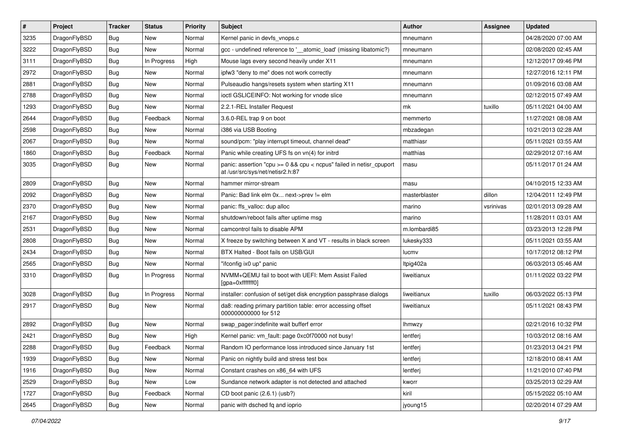| $\sharp$ | Project      | <b>Tracker</b> | <b>Status</b> | <b>Priority</b> | Subject                                                                                                 | <b>Author</b> | Assignee  | <b>Updated</b>      |
|----------|--------------|----------------|---------------|-----------------|---------------------------------------------------------------------------------------------------------|---------------|-----------|---------------------|
| 3235     | DragonFlyBSD | Bug            | New           | Normal          | Kernel panic in devfs vnops.c                                                                           | mneumann      |           | 04/28/2020 07:00 AM |
| 3222     | DragonFlyBSD | Bug            | <b>New</b>    | Normal          | gcc - undefined reference to '__atomic_load' (missing libatomic?)                                       | mneumann      |           | 02/08/2020 02:45 AM |
| 3111     | DragonFlyBSD | <b>Bug</b>     | In Progress   | High            | Mouse lags every second heavily under X11                                                               | mneumann      |           | 12/12/2017 09:46 PM |
| 2972     | DragonFlyBSD | <b>Bug</b>     | New           | Normal          | ipfw3 "deny to me" does not work correctly                                                              | mneumann      |           | 12/27/2016 12:11 PM |
| 2881     | DragonFlyBSD | Bug            | <b>New</b>    | Normal          | Pulseaudio hangs/resets system when starting X11                                                        | mneumann      |           | 01/09/2016 03:08 AM |
| 2788     | DragonFlyBSD | Bug            | New           | Normal          | ioctl GSLICEINFO: Not working for vnode slice                                                           | mneumann      |           | 02/12/2015 07:49 AM |
| 1293     | DragonFlyBSD | <b>Bug</b>     | New           | Normal          | 2.2.1-REL Installer Request                                                                             | mk            | tuxillo   | 05/11/2021 04:00 AM |
| 2644     | DragonFlyBSD | <b>Bug</b>     | Feedback      | Normal          | 3.6.0-REL trap 9 on boot                                                                                | memmerto      |           | 11/27/2021 08:08 AM |
| 2598     | DragonFlyBSD | <b>Bug</b>     | <b>New</b>    | Normal          | i386 via USB Booting                                                                                    | mbzadegan     |           | 10/21/2013 02:28 AM |
| 2067     | DragonFlyBSD | Bug            | New           | Normal          | sound/pcm: "play interrupt timeout, channel dead"                                                       | matthiasr     |           | 05/11/2021 03:55 AM |
| 1860     | DragonFlyBSD | <b>Bug</b>     | Feedback      | Normal          | Panic while creating UFS fs on vn(4) for initrd                                                         | matthias      |           | 02/29/2012 07:16 AM |
| 3035     | DragonFlyBSD | <b>Bug</b>     | New           | Normal          | panic: assertion "cpu >= 0 && cpu < ncpus" failed in netisr_cpuport<br>at /usr/src/sys/net/netisr2.h:87 | masu          |           | 05/11/2017 01:24 AM |
| 2809     | DragonFlyBSD | <b>Bug</b>     | New           | Normal          | hammer mirror-stream                                                                                    | masu          |           | 04/10/2015 12:33 AM |
| 2092     | DragonFlyBSD | <b>Bug</b>     | <b>New</b>    | Normal          | Panic: Bad link elm 0x next->prev != elm                                                                | masterblaster | dillon    | 12/04/2011 12:49 PM |
| 2370     | DragonFlyBSD | <b>Bug</b>     | <b>New</b>    | Normal          | panic: ffs valloc: dup alloc                                                                            | marino        | vsrinivas | 02/01/2013 09:28 AM |
| 2167     | DragonFlyBSD | <b>Bug</b>     | New           | Normal          | shutdown/reboot fails after uptime msg                                                                  | marino        |           | 11/28/2011 03:01 AM |
| 2531     | DragonFlyBSD | Bug            | New           | Normal          | camcontrol fails to disable APM                                                                         | m.lombardi85  |           | 03/23/2013 12:28 PM |
| 2808     | DragonFlyBSD | <b>Bug</b>     | New           | Normal          | X freeze by switching between X and VT - results in black screen                                        | lukesky333    |           | 05/11/2021 03:55 AM |
| 2434     | DragonFlyBSD | <b>Bug</b>     | New           | Normal          | BTX Halted - Boot fails on USB/GUI                                                                      | lucmv         |           | 10/17/2012 08:12 PM |
| 2565     | DragonFlyBSD | <b>Bug</b>     | New           | Normal          | "ifconfig ix0 up" panic                                                                                 | Itpig402a     |           | 06/03/2013 05:46 AM |
| 3310     | DragonFlyBSD | <b>Bug</b>     | In Progress   | Normal          | NVMM+QEMU fail to boot with UEFI: Mem Assist Failed<br>[gpa=0xfffffff0]                                 | liweitianux   |           | 01/11/2022 03:22 PM |
| 3028     | DragonFlyBSD | Bug            | In Progress   | Normal          | installer: confusion of set/get disk encryption passphrase dialogs                                      | liweitianux   | tuxillo   | 06/03/2022 05:13 PM |
| 2917     | DragonFlyBSD | <b>Bug</b>     | New           | Normal          | da8: reading primary partition table: error accessing offset<br>000000000000 for 512                    | liweitianux   |           | 05/11/2021 08:43 PM |
| 2892     | DragonFlyBSD | <b>Bug</b>     | <b>New</b>    | Normal          | swap_pager:indefinite wait bufferf error                                                                | Ihmwzy        |           | 02/21/2016 10:32 PM |
| 2421     | DragonFlyBSD | <b>Bug</b>     | New           | High            | Kernel panic: vm_fault: page 0xc0f70000 not busy!                                                       | lentferj      |           | 10/03/2012 08:16 AM |
| 2288     | DragonFlyBSD | Bug            | Feedback      | Normal          | Random IO performance loss introduced since January 1st                                                 | lentferj      |           | 01/23/2013 04:21 PM |
| 1939     | DragonFlyBSD | Bug            | New           | Normal          | Panic on nightly build and stress test box                                                              | lentferj      |           | 12/18/2010 08:41 AM |
| 1916     | DragonFlyBSD | <b>Bug</b>     | <b>New</b>    | Normal          | Constant crashes on x86_64 with UFS                                                                     | lentferj      |           | 11/21/2010 07:40 PM |
| 2529     | DragonFlyBSD | <b>Bug</b>     | New           | Low             | Sundance network adapter is not detected and attached                                                   | kworr         |           | 03/25/2013 02:29 AM |
| 1727     | DragonFlyBSD | <b>Bug</b>     | Feedback      | Normal          | CD boot panic (2.6.1) (usb?)                                                                            | kiril         |           | 05/15/2022 05:10 AM |
| 2645     | DragonFlyBSD | <b>Bug</b>     | New           | Normal          | panic with dsched fq and ioprio                                                                         | jyoung15      |           | 02/20/2014 07:29 AM |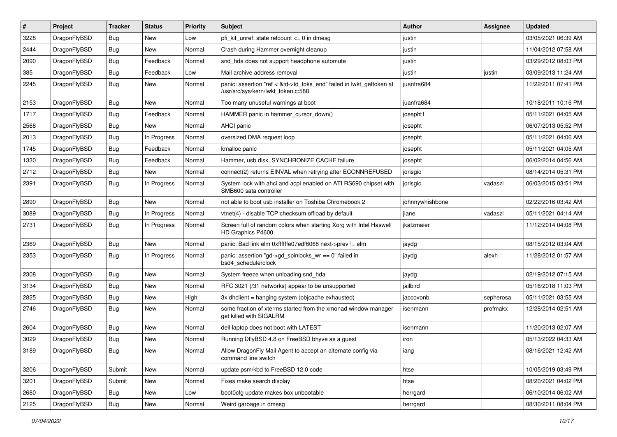| $\vert$ # | Project      | <b>Tracker</b> | <b>Status</b> | <b>Priority</b> | Subject                                                                                                    | Author          | Assignee  | <b>Updated</b>      |
|-----------|--------------|----------------|---------------|-----------------|------------------------------------------------------------------------------------------------------------|-----------------|-----------|---------------------|
| 3228      | DragonFlyBSD | <b>Bug</b>     | <b>New</b>    | Low             | pfi kif unref: state refcount $\leq 0$ in dmesg                                                            | justin          |           | 03/05/2021 06:39 AM |
| 2444      | DragonFlyBSD | <b>Bug</b>     | <b>New</b>    | Normal          | Crash during Hammer overnight cleanup                                                                      | justin          |           | 11/04/2012 07:58 AM |
| 2090      | DragonFlyBSD | <b>Bug</b>     | Feedback      | Normal          | snd_hda does not support headphone automute                                                                | justin          |           | 03/29/2012 08:03 PM |
| 385       | DragonFlyBSD | Bug            | Feedback      | Low             | Mail archive address removal                                                                               | justin          | justin    | 03/09/2013 11:24 AM |
| 2245      | DragonFlyBSD | Bug            | New           | Normal          | panic: assertion "ref < &td->td_toks_end" failed in lwkt_gettoken at<br>/usr/src/sys/kern/lwkt token.c:588 | juanfra684      |           | 11/22/2011 07:41 PM |
| 2153      | DragonFlyBSD | Bug            | <b>New</b>    | Normal          | Too many unuseful warnings at boot                                                                         | juanfra684      |           | 10/18/2011 10:16 PM |
| 1717      | DragonFlyBSD | <b>Bug</b>     | Feedback      | Normal          | HAMMER panic in hammer_cursor_down()                                                                       | josepht1        |           | 05/11/2021 04:05 AM |
| 2568      | DragonFlyBSD | Bug            | <b>New</b>    | Normal          | AHCI panic                                                                                                 | josepht         |           | 06/07/2013 05:52 PM |
| 2013      | DragonFlyBSD | Bug            | In Progress   | Normal          | oversized DMA request loop                                                                                 | josepht         |           | 05/11/2021 04:06 AM |
| 1745      | DragonFlyBSD | Bug            | Feedback      | Normal          | kmalloc panic                                                                                              | josepht         |           | 05/11/2021 04:05 AM |
| 1330      | DragonFlyBSD | Bug            | Feedback      | Normal          | Hammer, usb disk, SYNCHRONIZE CACHE failure                                                                | josepht         |           | 06/02/2014 04:56 AM |
| 2712      | DragonFlyBSD | <b>Bug</b>     | New           | Normal          | connect(2) returns EINVAL when retrying after ECONNREFUSED                                                 | jorisgio        |           | 08/14/2014 05:31 PM |
| 2391      | DragonFlyBSD | Bug            | In Progress   | Normal          | System lock with ahci and acpi enabled on ATI RS690 chipset with<br>SMB600 sata controller                 | jorisgio        | vadaszi   | 06/03/2015 03:51 PM |
| 2890      | DragonFlyBSD | <b>Bug</b>     | New           | Normal          | not able to boot usb installer on Toshiba Chromebook 2                                                     | johnnywhishbone |           | 02/22/2016 03:42 AM |
| 3089      | DragonFlyBSD | Bug            | In Progress   | Normal          | vtnet(4) - disable TCP checksum offload by default                                                         | jlane           | vadaszi   | 05/11/2021 04:14 AM |
| 2731      | DragonFlyBSD | Bug            | In Progress   | Normal          | Screen full of random colors when starting Xorg with Intel Haswell<br>HD Graphics P4600                    | ikatzmaier      |           | 11/12/2014 04:08 PM |
| 2369      | DragonFlyBSD | Bug            | New           | Normal          | panic: Bad link elm 0xffffffe07edf6068 next->prev != elm                                                   | jaydg           |           | 08/15/2012 03:04 AM |
| 2353      | DragonFlyBSD | Bug            | In Progress   | Normal          | panic: assertion "gd->gd_spinlocks_wr == 0" failed in<br>bsd4_schedulerclock                               | jaydg           | alexh     | 11/28/2012 01:57 AM |
| 2308      | DragonFlyBSD | Bug            | <b>New</b>    | Normal          | System freeze when unloading snd_hda                                                                       | jaydg           |           | 02/19/2012 07:15 AM |
| 3134      | DragonFlyBSD | <b>Bug</b>     | New           | Normal          | RFC 3021 (/31 networks) appear to be unsupported                                                           | jailbird        |           | 05/16/2018 11:03 PM |
| 2825      | DragonFlyBSD | Bug            | <b>New</b>    | High            | 3x dhclient = hanging system (objcache exhausted)                                                          | jaccovonb       | sepherosa | 05/11/2021 03:55 AM |
| 2746      | DragonFlyBSD | Bug            | <b>New</b>    | Normal          | some fraction of xterms started from the xmonad window manager<br>get killed with SIGALRM                  | isenmann        | profmakx  | 12/28/2014 02:51 AM |
| 2604      | DragonFlyBSD | Bug            | <b>New</b>    | Normal          | dell laptop does not boot with LATEST                                                                      | isenmann        |           | 11/20/2013 02:07 AM |
| 3029      | DragonFlyBSD | <b>Bug</b>     | <b>New</b>    | Normal          | Running DflyBSD 4.8 on FreeBSD bhyve as a guest                                                            | iron            |           | 05/13/2022 04:33 AM |
| 3189      | DragonFlyBSD | <b>Bug</b>     | New           | Normal          | Allow DragonFly Mail Agent to accept an alternate config via<br>command line switch                        | lang            |           | 08/16/2021 12:42 AM |
| 3206      | DragonFlyBSD | Submit         | New           | Normal          | update psm/kbd to FreeBSD 12.0 code                                                                        | htse            |           | 10/05/2019 03:49 PM |
| 3201      | DragonFlyBSD | Submit         | New           | Normal          | Fixes make search display                                                                                  | htse            |           | 08/20/2021 04:02 PM |
| 2680      | DragonFlyBSD | Bug            | New           | Low             | boot0cfg update makes box unbootable                                                                       | herrgard        |           | 06/10/2014 06:02 AM |
| 2125      | DragonFlyBSD | Bug            | New           | Normal          | Weird garbage in dmesg                                                                                     | herrgard        |           | 08/30/2011 08:04 PM |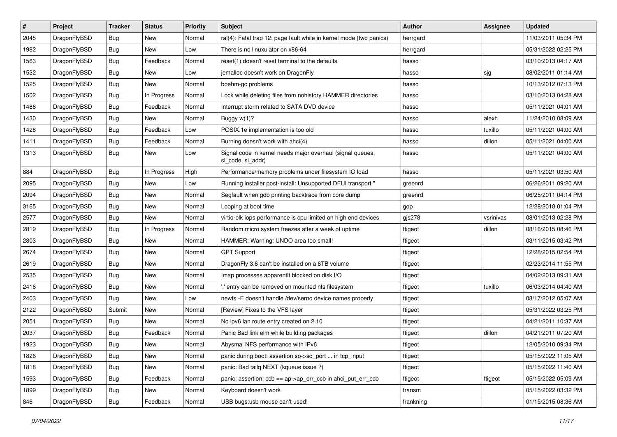| $\sharp$ | Project      | <b>Tracker</b> | <b>Status</b> | <b>Priority</b> | Subject                                                                         | <b>Author</b> | Assignee  | <b>Updated</b>      |
|----------|--------------|----------------|---------------|-----------------|---------------------------------------------------------------------------------|---------------|-----------|---------------------|
| 2045     | DragonFlyBSD | Bug            | New           | Normal          | ral(4): Fatal trap 12: page fault while in kernel mode (two panics)             | herrgard      |           | 11/03/2011 05:34 PM |
| 1982     | DragonFlyBSD | Bug            | New           | Low             | There is no linuxulator on x86-64                                               | herrgard      |           | 05/31/2022 02:25 PM |
| 1563     | DragonFlyBSD | <b>Bug</b>     | Feedback      | Normal          | reset(1) doesn't reset terminal to the defaults                                 | hasso         |           | 03/10/2013 04:17 AM |
| 1532     | DragonFlyBSD | Bug            | New           | Low             | jemalloc doesn't work on DragonFly                                              | hasso         | sjg       | 08/02/2011 01:14 AM |
| 1525     | DragonFlyBSD | Bug            | <b>New</b>    | Normal          | boehm-gc problems                                                               | hasso         |           | 10/13/2012 07:13 PM |
| 1502     | DragonFlyBSD | <b>Bug</b>     | In Progress   | Normal          | Lock while deleting files from nohistory HAMMER directories                     | hasso         |           | 03/10/2013 04:28 AM |
| 1486     | DragonFlyBSD | Bug            | Feedback      | Normal          | Interrupt storm related to SATA DVD device                                      | hasso         |           | 05/11/2021 04:01 AM |
| 1430     | DragonFlyBSD | <b>Bug</b>     | New           | Normal          | Buggy $w(1)$ ?                                                                  | hasso         | alexh     | 11/24/2010 08:09 AM |
| 1428     | DragonFlyBSD | <b>Bug</b>     | Feedback      | Low             | POSIX.1e implementation is too old                                              | hasso         | tuxillo   | 05/11/2021 04:00 AM |
| 1411     | DragonFlyBSD | Bug            | Feedback      | Normal          | Burning doesn't work with ahci(4)                                               | hasso         | dillon    | 05/11/2021 04:00 AM |
| 1313     | DragonFlyBSD | <b>Bug</b>     | New           | Low             | Signal code in kernel needs major overhaul (signal queues,<br>si code, si addr) | hasso         |           | 05/11/2021 04:00 AM |
| 884      | DragonFlyBSD | Bug            | In Progress   | High            | Performance/memory problems under filesystem IO load                            | hasso         |           | 05/11/2021 03:50 AM |
| 2095     | DragonFlyBSD | Bug            | <b>New</b>    | Low             | Running installer post-install: Unsupported DFUI transport "                    | greenrd       |           | 06/26/2011 09:20 AM |
| 2094     | DragonFlyBSD | Bug            | New           | Normal          | Segfault when gdb printing backtrace from core dump                             | greenrd       |           | 06/25/2011 04:14 PM |
| 3165     | DragonFlyBSD | <b>Bug</b>     | New           | Normal          | Looping at boot time                                                            | gop           |           | 12/28/2018 01:04 PM |
| 2577     | DragonFlyBSD | <b>Bug</b>     | <b>New</b>    | Normal          | virtio-blk iops performance is cpu limited on high end devices                  | gjs278        | vsrinivas | 08/01/2013 02:28 PM |
| 2819     | DragonFlyBSD | Bug            | In Progress   | Normal          | Random micro system freezes after a week of uptime                              | ftigeot       | dillon    | 08/16/2015 08:46 PM |
| 2803     | DragonFlyBSD | Bug            | <b>New</b>    | Normal          | HAMMER: Warning: UNDO area too small!                                           | ftigeot       |           | 03/11/2015 03:42 PM |
| 2674     | DragonFlyBSD | Bug            | New           | Normal          | <b>GPT Support</b>                                                              | ftigeot       |           | 12/28/2015 02:54 PM |
| 2619     | DragonFlyBSD | Bug            | <b>New</b>    | Normal          | DragonFly 3.6 can't be installed on a 6TB volume                                | ftigeot       |           | 02/23/2014 11:55 PM |
| 2535     | DragonFlyBSD | <b>Bug</b>     | New           | Normal          | Imap processes apparentlt blocked on disk I/O                                   | ftigeot       |           | 04/02/2013 09:31 AM |
| 2416     | DragonFlyBSD | Bug            | <b>New</b>    | Normal          | ".' entry can be removed on mounted nfs filesystem                              | ftigeot       | tuxillo   | 06/03/2014 04:40 AM |
| 2403     | DragonFlyBSD | Bug            | New           | Low             | newfs - E doesn't handle / dev/serno device names properly                      | ftigeot       |           | 08/17/2012 05:07 AM |
| 2122     | DragonFlyBSD | Submit         | New           | Normal          | [Review] Fixes to the VFS layer                                                 | ftigeot       |           | 05/31/2022 03:25 PM |
| 2051     | DragonFlyBSD | <b>Bug</b>     | New           | Normal          | No ipv6 lan route entry created on 2.10                                         | ftigeot       |           | 04/21/2011 10:37 AM |
| 2037     | DragonFlyBSD | Bug            | Feedback      | Normal          | Panic Bad link elm while building packages                                      | ftigeot       | dillon    | 04/21/2011 07:20 AM |
| 1923     | DragonFlyBSD | <b>Bug</b>     | New           | Normal          | Abysmal NFS performance with IPv6                                               | ftigeot       |           | 12/05/2010 09:34 PM |
| 1826     | DragonFlyBSD | <b>Bug</b>     | New           | Normal          | panic during boot: assertion so->so_port  in tcp_input                          | ftigeot       |           | 05/15/2022 11:05 AM |
| 1818     | DragonFlyBSD | <b>Bug</b>     | New           | Normal          | panic: Bad tailq NEXT (kqueue issue ?)                                          | ftigeot       |           | 05/15/2022 11:40 AM |
| 1593     | DragonFlyBSD | <b>Bug</b>     | Feedback      | Normal          | panic: assertion: ccb == ap->ap_err_ccb in ahci_put_err_ccb                     | ftigeot       | ftigeot   | 05/15/2022 05:09 AM |
| 1899     | DragonFlyBSD | Bug            | New           | Normal          | Keyboard doesn't work                                                           | fransm        |           | 05/15/2022 03:32 PM |
| 846      | DragonFlyBSD | <b>Bug</b>     | Feedback      | Normal          | USB bugs:usb mouse can't used!                                                  | frankning     |           | 01/15/2015 08:36 AM |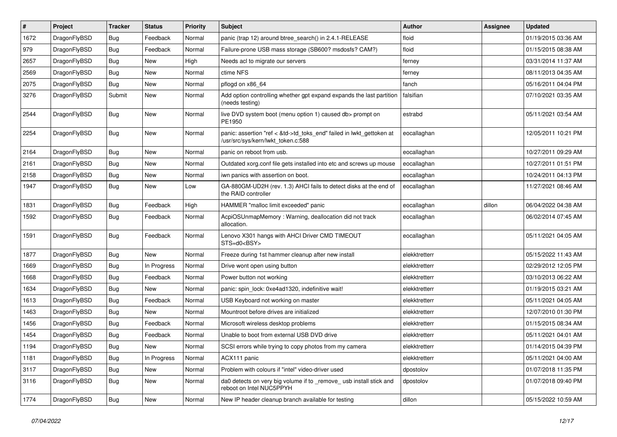| $\sharp$ | Project      | <b>Tracker</b> | <b>Status</b> | <b>Priority</b> | Subject                                                                                                    | <b>Author</b> | Assignee | <b>Updated</b>      |
|----------|--------------|----------------|---------------|-----------------|------------------------------------------------------------------------------------------------------------|---------------|----------|---------------------|
| 1672     | DragonFlyBSD | Bug            | Feedback      | Normal          | panic (trap 12) around btree_search() in 2.4.1-RELEASE                                                     | floid         |          | 01/19/2015 03:36 AM |
| 979      | DragonFlyBSD | <b>Bug</b>     | Feedback      | Normal          | Failure-prone USB mass storage (SB600? msdosfs? CAM?)                                                      | floid         |          | 01/15/2015 08:38 AM |
| 2657     | DragonFlyBSD | Bug            | New           | High            | Needs acl to migrate our servers                                                                           | ferney        |          | 03/31/2014 11:37 AM |
| 2569     | DragonFlyBSD | Bug            | New           | Normal          | ctime NFS                                                                                                  | ferney        |          | 08/11/2013 04:35 AM |
| 2075     | DragonFlyBSD | Bug            | New           | Normal          | pflogd on x86 64                                                                                           | fanch         |          | 05/16/2011 04:04 PM |
| 3276     | DragonFlyBSD | Submit         | <b>New</b>    | Normal          | Add option controlling whether gpt expand expands the last partition<br>(needs testing)                    | falsifian     |          | 07/10/2021 03:35 AM |
| 2544     | DragonFlyBSD | Bug            | <b>New</b>    | Normal          | live DVD system boot (menu option 1) caused db> prompt on<br>PE1950                                        | estrabd       |          | 05/11/2021 03:54 AM |
| 2254     | DragonFlyBSD | <b>Bug</b>     | New           | Normal          | panic: assertion "ref < &td->td_toks_end" failed in lwkt_gettoken at<br>/usr/src/sys/kern/lwkt token.c:588 | eocallaghan   |          | 12/05/2011 10:21 PM |
| 2164     | DragonFlyBSD | Bug            | New           | Normal          | panic on reboot from usb.                                                                                  | eocallaghan   |          | 10/27/2011 09:29 AM |
| 2161     | DragonFlyBSD | Bug            | <b>New</b>    | Normal          | Outdated xorg.conf file gets installed into etc and screws up mouse                                        | eocallaghan   |          | 10/27/2011 01:51 PM |
| 2158     | DragonFlyBSD | Bug            | New           | Normal          | iwn panics with assertion on boot.                                                                         | eocallaghan   |          | 10/24/2011 04:13 PM |
| 1947     | DragonFlyBSD | Bug            | New           | Low             | GA-880GM-UD2H (rev. 1.3) AHCI fails to detect disks at the end of<br>the RAID controller                   | eocallaghan   |          | 11/27/2021 08:46 AM |
| 1831     | DragonFlyBSD | Bug            | Feedback      | High            | HAMMER "malloc limit exceeded" panic                                                                       | eocallaghan   | dillon   | 06/04/2022 04:38 AM |
| 1592     | DragonFlyBSD | <b>Bug</b>     | Feedback      | Normal          | AcpiOSUnmapMemory: Warning, deallocation did not track<br>allocation.                                      | eocallaghan   |          | 06/02/2014 07:45 AM |
| 1591     | DragonFlyBSD | Bug            | Feedback      | Normal          | Lenovo X301 hangs with AHCI Driver CMD TIMEOUT<br>STS=d0 <bsy></bsy>                                       | eocallaghan   |          | 05/11/2021 04:05 AM |
| 1877     | DragonFlyBSD | Bug            | New           | Normal          | Freeze during 1st hammer cleanup after new install                                                         | elekktretterr |          | 05/15/2022 11:43 AM |
| 1669     | DragonFlyBSD | Bug            | In Progress   | Normal          | Drive wont open using button                                                                               | elekktretterr |          | 02/29/2012 12:05 PM |
| 1668     | DragonFlyBSD | Bug            | Feedback      | Normal          | Power button not working                                                                                   | elekktretterr |          | 03/10/2013 06:22 AM |
| 1634     | DragonFlyBSD | Bug            | New           | Normal          | panic: spin lock: 0xe4ad1320, indefinitive wait!                                                           | elekktretterr |          | 01/19/2015 03:21 AM |
| 1613     | DragonFlyBSD | Bug            | Feedback      | Normal          | USB Keyboard not working on master                                                                         | elekktretterr |          | 05/11/2021 04:05 AM |
| 1463     | DragonFlyBSD | Bug            | <b>New</b>    | Normal          | Mountroot before drives are initialized                                                                    | elekktretterr |          | 12/07/2010 01:30 PM |
| 1456     | DragonFlyBSD | Bug            | Feedback      | Normal          | Microsoft wireless desktop problems                                                                        | elekktretterr |          | 01/15/2015 08:34 AM |
| 1454     | DragonFlyBSD | Bug            | Feedback      | Normal          | Unable to boot from external USB DVD drive                                                                 | elekktretterr |          | 05/11/2021 04:01 AM |
| 1194     | DragonFlyBSD | Bug            | <b>New</b>    | Normal          | SCSI errors while trying to copy photos from my camera                                                     | elekktretterr |          | 01/14/2015 04:39 PM |
| 1181     | DragonFlyBSD | <b>Bug</b>     | In Progress   | Normal          | ACX111 panic                                                                                               | elekktretterr |          | 05/11/2021 04:00 AM |
| 3117     | DragonFlyBSD | <b>Bug</b>     | <b>New</b>    | Normal          | Problem with colours if "intel" video-driver used                                                          | dpostolov     |          | 01/07/2018 11:35 PM |
| 3116     | DragonFlyBSD | <b>Bug</b>     | New           | Normal          | da0 detects on very big volume if to _remove_usb install stick and<br>reboot on Intel NUC5PPYH             | dpostolov     |          | 01/07/2018 09:40 PM |
| 1774     | DragonFlyBSD | <b>Bug</b>     | New           | Normal          | New IP header cleanup branch available for testing                                                         | dillon        |          | 05/15/2022 10:59 AM |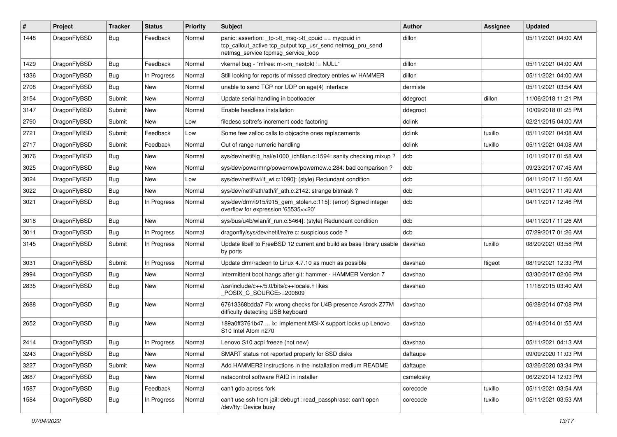| #    | Project      | <b>Tracker</b> | <b>Status</b> | <b>Priority</b> | Subject                                                                                                                                                   | <b>Author</b> | Assignee | <b>Updated</b>      |
|------|--------------|----------------|---------------|-----------------|-----------------------------------------------------------------------------------------------------------------------------------------------------------|---------------|----------|---------------------|
| 1448 | DragonFlyBSD | Bug            | Feedback      | Normal          | panic: assertion: _tp->tt_msg->tt_cpuid == mycpuid in<br>tcp_callout_active tcp_output tcp_usr_send netmsg_pru_send<br>netmsg_service tcpmsg_service_loop | dillon        |          | 05/11/2021 04:00 AM |
| 1429 | DragonFlyBSD | Bug            | Feedback      | Normal          | vkernel bug - "mfree: m->m_nextpkt != NULL"                                                                                                               | dillon        |          | 05/11/2021 04:00 AM |
| 1336 | DragonFlyBSD | Bug            | In Progress   | Normal          | Still looking for reports of missed directory entries w/ HAMMER                                                                                           | dillon        |          | 05/11/2021 04:00 AM |
| 2708 | DragonFlyBSD | Bug            | New           | Normal          | unable to send TCP nor UDP on age(4) interface                                                                                                            | dermiste      |          | 05/11/2021 03:54 AM |
| 3154 | DragonFlyBSD | Submit         | <b>New</b>    | Normal          | Update serial handling in bootloader                                                                                                                      | ddegroot      | dillon   | 11/06/2018 11:21 PM |
| 3147 | DragonFlyBSD | Submit         | <b>New</b>    | Normal          | Enable headless installation                                                                                                                              | ddegroot      |          | 10/09/2018 01:25 PM |
| 2790 | DragonFlyBSD | Submit         | New           | Low             | filedesc softrefs increment code factoring                                                                                                                | dclink        |          | 02/21/2015 04:00 AM |
| 2721 | DragonFlyBSD | Submit         | Feedback      | Low             | Some few zalloc calls to objcache ones replacements                                                                                                       | dclink        | tuxillo  | 05/11/2021 04:08 AM |
| 2717 | DragonFlyBSD | Submit         | Feedback      | Normal          | Out of range numeric handling                                                                                                                             | dclink        | tuxillo  | 05/11/2021 04:08 AM |
| 3076 | DragonFlyBSD | Bug            | <b>New</b>    | Normal          | sys/dev/netif/ig hal/e1000 ich8lan.c:1594: sanity checking mixup?                                                                                         | dcb           |          | 10/11/2017 01:58 AM |
| 3025 | DragonFlyBSD | <b>Bug</b>     | New           | Normal          | sys/dev/powermng/powernow/powernow.c:284: bad comparison?                                                                                                 | dcb           |          | 09/23/2017 07:45 AM |
| 3024 | DragonFlyBSD | <b>Bug</b>     | <b>New</b>    | Low             | sys/dev/netif/wi/if_wi.c:1090]: (style) Redundant condition                                                                                               | dcb           |          | 04/11/2017 11:56 AM |
| 3022 | DragonFlyBSD | <b>Bug</b>     | <b>New</b>    | Normal          | sys/dev/netif/ath/ath/if ath.c:2142: strange bitmask?                                                                                                     | dcb           |          | 04/11/2017 11:49 AM |
| 3021 | DragonFlyBSD | Bug            | In Progress   | Normal          | sys/dev/drm/i915/i915_gem_stolen.c:115]: (error) Signed integer<br>overflow for expression '65535<<20'                                                    | dcb           |          | 04/11/2017 12:46 PM |
| 3018 | DragonFlyBSD | Bug            | <b>New</b>    | Normal          | sys/bus/u4b/wlan/if_run.c:5464]: (style) Redundant condition                                                                                              | dcb           |          | 04/11/2017 11:26 AM |
| 3011 | DragonFlyBSD | Bug            | In Progress   | Normal          | dragonfly/sys/dev/netif/re/re.c: suspicious code?                                                                                                         | dcb           |          | 07/29/2017 01:26 AM |
| 3145 | DragonFlyBSD | Submit         | In Progress   | Normal          | Update libelf to FreeBSD 12 current and build as base library usable<br>by ports                                                                          | davshao       | tuxillo  | 08/20/2021 03:58 PM |
| 3031 | DragonFlyBSD | Submit         | In Progress   | Normal          | Update drm/radeon to Linux 4.7.10 as much as possible                                                                                                     | davshao       | ftigeot  | 08/19/2021 12:33 PM |
| 2994 | DragonFlyBSD | <b>Bug</b>     | <b>New</b>    | Normal          | Intermittent boot hangs after git: hammer - HAMMER Version 7                                                                                              | davshao       |          | 03/30/2017 02:06 PM |
| 2835 | DragonFlyBSD | <b>Bug</b>     | <b>New</b>    | Normal          | /usr/include/c++/5.0/bits/c++locale.h likes<br>POSIX C_SOURCE>=200809                                                                                     | davshao       |          | 11/18/2015 03:40 AM |
| 2688 | DragonFlyBSD | <b>Bug</b>     | <b>New</b>    | Normal          | 67613368bdda7 Fix wrong checks for U4B presence Asrock Z77M<br>difficulty detecting USB keyboard                                                          | davshao       |          | 06/28/2014 07:08 PM |
| 2652 | DragonFlyBSD | Bug            | New           | Normal          | 189a0ff3761b47  ix: Implement MSI-X support locks up Lenovo<br>S10 Intel Atom n270                                                                        | davshao       |          | 05/14/2014 01:55 AM |
| 2414 | DragonFlyBSD | Bug            | In Progress   | Normal          | Lenovo S10 acpi freeze (not new)                                                                                                                          | davshao       |          | 05/11/2021 04:13 AM |
| 3243 | DragonFlyBSD | Bug            | <b>New</b>    | Normal          | SMART status not reported properly for SSD disks                                                                                                          | daftaupe      |          | 09/09/2020 11:03 PM |
| 3227 | DragonFlyBSD | Submit         | New           | Normal          | Add HAMMER2 instructions in the installation medium README                                                                                                | daftaupe      |          | 03/26/2020 03:34 PM |
| 2687 | DragonFlyBSD | <b>Bug</b>     | New           | Normal          | natacontrol software RAID in installer                                                                                                                    | csmelosky     |          | 06/22/2014 12:03 PM |
| 1587 | DragonFlyBSD | Bug            | Feedback      | Normal          | can't gdb across fork                                                                                                                                     | corecode      | tuxillo  | 05/11/2021 03:54 AM |
| 1584 | DragonFlyBSD | Bug            | In Progress   | Normal          | can't use ssh from jail: debug1: read_passphrase: can't open<br>/dev/tty: Device busy                                                                     | corecode      | tuxillo  | 05/11/2021 03:53 AM |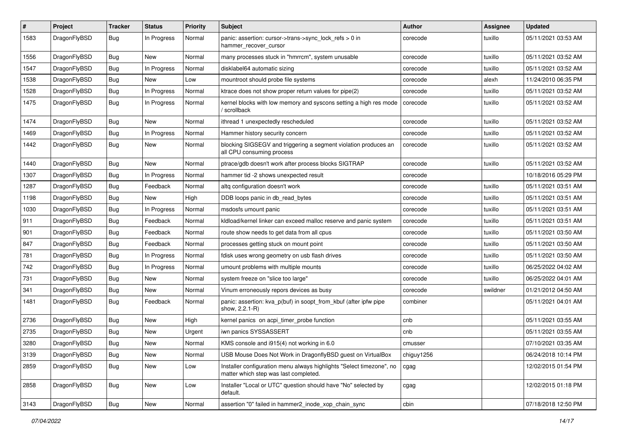| $\#$ | Project      | Tracker    | <b>Status</b> | <b>Priority</b> | <b>Subject</b>                                                                                                | <b>Author</b> | Assignee | <b>Updated</b>      |
|------|--------------|------------|---------------|-----------------|---------------------------------------------------------------------------------------------------------------|---------------|----------|---------------------|
| 1583 | DragonFlyBSD | <b>Bug</b> | In Progress   | Normal          | panic: assertion: cursor->trans->sync_lock_refs > 0 in<br>hammer_recover_cursor                               | corecode      | tuxillo  | 05/11/2021 03:53 AM |
| 1556 | DragonFlyBSD | <b>Bug</b> | New           | Normal          | many processes stuck in "hmrrcm", system unusable                                                             | corecode      | tuxillo  | 05/11/2021 03:52 AM |
| 1547 | DragonFlyBSD | Bug        | In Progress   | Normal          | disklabel64 automatic sizing                                                                                  | corecode      | tuxillo  | 05/11/2021 03:52 AM |
| 1538 | DragonFlyBSD | <b>Bug</b> | New           | Low             | mountroot should probe file systems                                                                           | corecode      | alexh    | 11/24/2010 06:35 PM |
| 1528 | DragonFlyBSD | Bug        | In Progress   | Normal          | ktrace does not show proper return values for pipe(2)                                                         | corecode      | tuxillo  | 05/11/2021 03:52 AM |
| 1475 | DragonFlyBSD | <b>Bug</b> | In Progress   | Normal          | kernel blocks with low memory and syscons setting a high res mode<br>/ scrollback                             | corecode      | tuxillo  | 05/11/2021 03:52 AM |
| 1474 | DragonFlyBSD | <b>Bug</b> | New           | Normal          | ithread 1 unexpectedly rescheduled                                                                            | corecode      | tuxillo  | 05/11/2021 03:52 AM |
| 1469 | DragonFlyBSD | <b>Bug</b> | In Progress   | Normal          | Hammer history security concern                                                                               | corecode      | tuxillo  | 05/11/2021 03:52 AM |
| 1442 | DragonFlyBSD | <b>Bug</b> | New           | Normal          | blocking SIGSEGV and triggering a segment violation produces an<br>all CPU consuming process                  | corecode      | tuxillo  | 05/11/2021 03:52 AM |
| 1440 | DragonFlyBSD | <b>Bug</b> | <b>New</b>    | Normal          | ptrace/gdb doesn't work after process blocks SIGTRAP                                                          | corecode      | tuxillo  | 05/11/2021 03:52 AM |
| 1307 | DragonFlyBSD | Bug        | In Progress   | Normal          | hammer tid -2 shows unexpected result                                                                         | corecode      |          | 10/18/2016 05:29 PM |
| 1287 | DragonFlyBSD | Bug        | Feedback      | Normal          | altq configuration doesn't work                                                                               | corecode      | tuxillo  | 05/11/2021 03:51 AM |
| 1198 | DragonFlyBSD | Bug        | New           | High            | DDB loops panic in db read bytes                                                                              | corecode      | tuxillo  | 05/11/2021 03:51 AM |
| 1030 | DragonFlyBSD | Bug        | In Progress   | Normal          | msdosfs umount panic                                                                                          | corecode      | tuxillo  | 05/11/2021 03:51 AM |
| 911  | DragonFlyBSD | <b>Bug</b> | Feedback      | Normal          | kldload/kernel linker can exceed malloc reserve and panic system                                              | corecode      | tuxillo  | 05/11/2021 03:51 AM |
| 901  | DragonFlyBSD | <b>Bug</b> | Feedback      | Normal          | route show needs to get data from all cpus                                                                    | corecode      | tuxillo  | 05/11/2021 03:50 AM |
| 847  | DragonFlyBSD | <b>Bug</b> | Feedback      | Normal          | processes getting stuck on mount point                                                                        | corecode      | tuxillo  | 05/11/2021 03:50 AM |
| 781  | DragonFlyBSD | Bug        | In Progress   | Normal          | fdisk uses wrong geometry on usb flash drives                                                                 | corecode      | tuxillo  | 05/11/2021 03:50 AM |
| 742  | DragonFlyBSD | <b>Bug</b> | In Progress   | Normal          | umount problems with multiple mounts                                                                          | corecode      | tuxillo  | 06/25/2022 04:02 AM |
| 731  | DragonFlyBSD | <b>Bug</b> | New           | Normal          | system freeze on "slice too large"                                                                            | corecode      | tuxillo  | 06/25/2022 04:01 AM |
| 341  | DragonFlyBSD | Bug        | New           | Normal          | Vinum erroneously repors devices as busy                                                                      | corecode      | swildner | 01/21/2012 04:50 AM |
| 1481 | DragonFlyBSD | Bug        | Feedback      | Normal          | panic: assertion: kva_p(buf) in soopt_from_kbuf (after ipfw pipe<br>show, 2.2.1-R)                            | combiner      |          | 05/11/2021 04:01 AM |
| 2736 | DragonFlyBSD | <b>Bug</b> | New           | High            | kernel panics on acpi_timer_probe function                                                                    | cnb           |          | 05/11/2021 03:55 AM |
| 2735 | DragonFlyBSD | Bug        | <b>New</b>    | Urgent          | iwn panics SYSSASSERT                                                                                         | cnb           |          | 05/11/2021 03:55 AM |
| 3280 | DragonFlyBSD | Bug        | New           | Normal          | KMS console and i915(4) not working in 6.0                                                                    | cmusser       |          | 07/10/2021 03:35 AM |
| 3139 | DragonFlyBSD | <b>Bug</b> | New           | Normal          | USB Mouse Does Not Work in DragonflyBSD guest on VirtualBox                                                   | chiguy1256    |          | 06/24/2018 10:14 PM |
| 2859 | DragonFlyBSD | <b>Bug</b> | New           | Low             | Installer configuration menu always highlights "Select timezone", no<br>matter which step was last completed. | cgag          |          | 12/02/2015 01:54 PM |
| 2858 | DragonFlyBSD | Bug        | New           | Low             | Installer "Local or UTC" question should have "No" selected by<br>default.                                    | cgag          |          | 12/02/2015 01:18 PM |
| 3143 | DragonFlyBSD | Bug        | New           | Normal          | assertion "0" failed in hammer2 inode xop chain sync                                                          | cbin          |          | 07/18/2018 12:50 PM |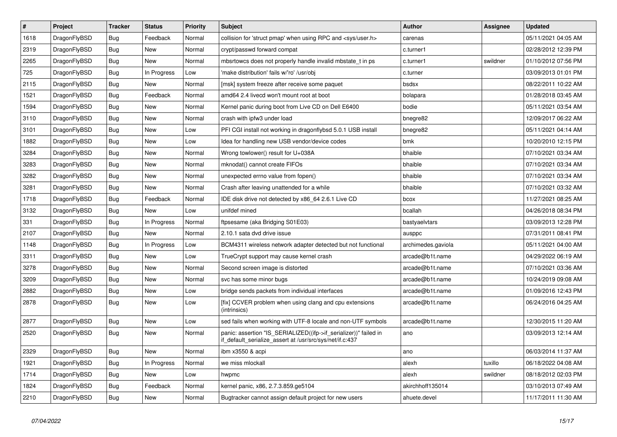| $\vert$ # | Project      | <b>Tracker</b> | <b>Status</b> | <b>Priority</b> | <b>Subject</b>                                                                                                               | <b>Author</b>      | Assignee | <b>Updated</b>      |
|-----------|--------------|----------------|---------------|-----------------|------------------------------------------------------------------------------------------------------------------------------|--------------------|----------|---------------------|
| 1618      | DragonFlyBSD | <b>Bug</b>     | Feedback      | Normal          | collision for 'struct pmap' when using RPC and <sys user.h=""></sys>                                                         | carenas            |          | 05/11/2021 04:05 AM |
| 2319      | DragonFlyBSD | <b>Bug</b>     | <b>New</b>    | Normal          | crypt/passwd forward compat                                                                                                  | c.turner1          |          | 02/28/2012 12:39 PM |
| 2265      | DragonFlyBSD | Bug            | New           | Normal          | mbsrtowcs does not properly handle invalid mbstate t in ps                                                                   | c.turner1          | swildner | 01/10/2012 07:56 PM |
| 725       | DragonFlyBSD | Bug            | In Progress   | Low             | 'make distribution' fails w/'ro' /usr/obj                                                                                    | c.turner           |          | 03/09/2013 01:01 PM |
| 2115      | DragonFlyBSD | <b>Bug</b>     | New           | Normal          | [msk] system freeze after receive some paquet                                                                                | bsdsx              |          | 08/22/2011 10:22 AM |
| 1521      | DragonFlyBSD | Bug            | Feedback      | Normal          | amd64 2.4 livecd won't mount root at boot                                                                                    | bolapara           |          | 01/28/2018 03:45 AM |
| 1594      | DragonFlyBSD | <b>Bug</b>     | <b>New</b>    | Normal          | Kernel panic during boot from Live CD on Dell E6400                                                                          | bodie              |          | 05/11/2021 03:54 AM |
| 3110      | DragonFlyBSD | Bug            | New           | Normal          | crash with ipfw3 under load                                                                                                  | bnegre82           |          | 12/09/2017 06:22 AM |
| 3101      | DragonFlyBSD | <b>Bug</b>     | New           | Low             | PFI CGI install not working in dragonflybsd 5.0.1 USB install                                                                | bnegre82           |          | 05/11/2021 04:14 AM |
| 1882      | DragonFlyBSD | <b>Bug</b>     | New           | Low             | Idea for handling new USB vendor/device codes                                                                                | bmk                |          | 10/20/2010 12:15 PM |
| 3284      | DragonFlyBSD | <b>Bug</b>     | <b>New</b>    | Normal          | Wrong towlower() result for U+038A                                                                                           | bhaible            |          | 07/10/2021 03:34 AM |
| 3283      | DragonFlyBSD | Bug            | New           | Normal          | mknodat() cannot create FIFOs                                                                                                | bhaible            |          | 07/10/2021 03:34 AM |
| 3282      | DragonFlyBSD | Bug            | New           | Normal          | unexpected errno value from fopen()                                                                                          | bhaible            |          | 07/10/2021 03:34 AM |
| 3281      | DragonFlyBSD | Bug            | New           | Normal          | Crash after leaving unattended for a while                                                                                   | bhaible            |          | 07/10/2021 03:32 AM |
| 1718      | DragonFlyBSD | <b>Bug</b>     | Feedback      | Normal          | IDE disk drive not detected by x86 64 2.6.1 Live CD                                                                          | bcox               |          | 11/27/2021 08:25 AM |
| 3132      | DragonFlyBSD | <b>Bug</b>     | <b>New</b>    | Low             | unifdef mined                                                                                                                | bcallah            |          | 04/26/2018 08:34 PM |
| 331       | DragonFlyBSD | Bug            | In Progress   | Normal          | ftpsesame (aka Bridging S01E03)                                                                                              | bastyaelvtars      |          | 03/09/2013 12:28 PM |
| 2107      | DragonFlyBSD | <b>Bug</b>     | <b>New</b>    | Normal          | 2.10.1 sata dvd drive issue                                                                                                  | ausppc             |          | 07/31/2011 08:41 PM |
| 1148      | DragonFlyBSD | <b>Bug</b>     | In Progress   | Low             | BCM4311 wireless network adapter detected but not functional                                                                 | archimedes.gaviola |          | 05/11/2021 04:00 AM |
| 3311      | DragonFlyBSD | Bug            | New           | Low             | TrueCrypt support may cause kernel crash                                                                                     | arcade@b1t.name    |          | 04/29/2022 06:19 AM |
| 3278      | DragonFlyBSD | <b>Bug</b>     | <b>New</b>    | Normal          | Second screen image is distorted                                                                                             | arcade@b1t.name    |          | 07/10/2021 03:36 AM |
| 3209      | DragonFlyBSD | Bug            | <b>New</b>    | Normal          | svc has some minor bugs                                                                                                      | arcade@b1t.name    |          | 10/24/2019 09:08 AM |
| 2882      | DragonFlyBSD | Bug            | New           | Low             | bridge sends packets from individual interfaces                                                                              | arcade@b1t.name    |          | 01/09/2016 12:43 PM |
| 2878      | DragonFlyBSD | Bug            | <b>New</b>    | Low             | [fix] CCVER problem when using clang and cpu extensions<br>(intrinsics)                                                      | arcade@b1t.name    |          | 06/24/2016 04:25 AM |
| 2877      | DragonFlyBSD | <b>Bug</b>     | <b>New</b>    | Low             | sed fails when working with UTF-8 locale and non-UTF symbols                                                                 | arcade@b1t.name    |          | 12/30/2015 11:20 AM |
| 2520      | DragonFlyBSD | <b>Bug</b>     | <b>New</b>    | Normal          | panic: assertion "IS_SERIALIZED((ifp->if_serializer))" failed in<br>if_default_serialize_assert at /usr/src/sys/net/if.c:437 | ano                |          | 03/09/2013 12:14 AM |
| 2329      | DragonFlyBSD | Bug            | New           | Normal          | ibm x3550 & acpi                                                                                                             | ano                |          | 06/03/2014 11:37 AM |
| 1921      | DragonFlyBSD | Bug            | In Progress   | Normal          | we miss mlockall                                                                                                             | alexh              | tuxillo  | 06/18/2022 04:08 AM |
| 1714      | DragonFlyBSD | Bug            | New           | Low             | hwpmc                                                                                                                        | alexh              | swildner | 08/18/2012 02:03 PM |
| 1824      | DragonFlyBSD | Bug            | Feedback      | Normal          | kernel panic, x86, 2.7.3.859.ge5104                                                                                          | akirchhoff135014   |          | 03/10/2013 07:49 AM |
| 2210      | DragonFlyBSD | <b>Bug</b>     | <b>New</b>    | Normal          | Bugtracker cannot assign default project for new users                                                                       | ahuete.devel       |          | 11/17/2011 11:30 AM |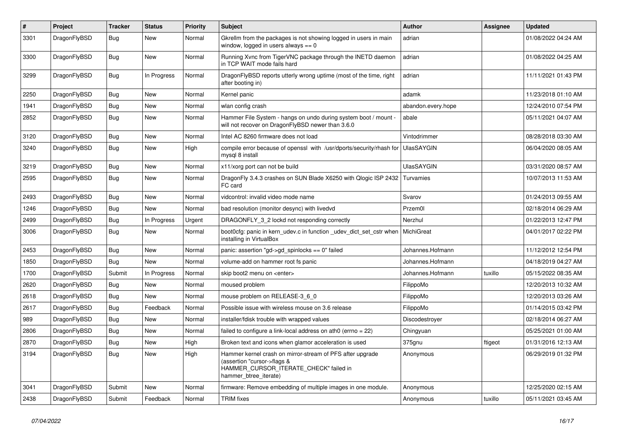| #    | Project      | Tracker    | <b>Status</b> | <b>Priority</b> | <b>Subject</b>                                                                                                                                              | <b>Author</b>      | Assignee | <b>Updated</b>      |
|------|--------------|------------|---------------|-----------------|-------------------------------------------------------------------------------------------------------------------------------------------------------------|--------------------|----------|---------------------|
| 3301 | DragonFlyBSD | <b>Bug</b> | New           | Normal          | Gkrellm from the packages is not showing logged in users in main<br>window, logged in users always == 0                                                     | adrian             |          | 01/08/2022 04:24 AM |
| 3300 | DragonFlyBSD | <b>Bug</b> | New           | Normal          | Running Xvnc from TigerVNC package through the INETD daemon<br>in TCP WAIT mode fails hard                                                                  | adrian             |          | 01/08/2022 04:25 AM |
| 3299 | DragonFlyBSD | <b>Bug</b> | In Progress   | Normal          | DragonFlyBSD reports utterly wrong uptime (most of the time, right<br>after booting in)                                                                     | adrian             |          | 11/11/2021 01:43 PM |
| 2250 | DragonFlyBSD | Bug        | <b>New</b>    | Normal          | Kernel panic                                                                                                                                                | adamk              |          | 11/23/2018 01:10 AM |
| 1941 | DragonFlyBSD | <b>Bug</b> | <b>New</b>    | Normal          | wlan config crash                                                                                                                                           | abandon.every.hope |          | 12/24/2010 07:54 PM |
| 2852 | DragonFlyBSD | <b>Bug</b> | <b>New</b>    | Normal          | Hammer File System - hangs on undo during system boot / mount -<br>will not recover on DragonFlyBSD newer than 3.6.0                                        | abale              |          | 05/11/2021 04:07 AM |
| 3120 | DragonFlyBSD | Bug        | <b>New</b>    | Normal          | Intel AC 8260 firmware does not load                                                                                                                        | Vintodrimmer       |          | 08/28/2018 03:30 AM |
| 3240 | DragonFlyBSD | <b>Bug</b> | <b>New</b>    | High            | compile error because of openssl with /usr/dports/security/rhash for<br>mysql 8 install                                                                     | <b>UlasSAYGIN</b>  |          | 06/04/2020 08:05 AM |
| 3219 | DragonFlyBSD | <b>Bug</b> | <b>New</b>    | Normal          | x11/xorg port can not be build                                                                                                                              | <b>UlasSAYGIN</b>  |          | 03/31/2020 08:57 AM |
| 2595 | DragonFlyBSD | Bug        | New           | Normal          | DragonFly 3.4.3 crashes on SUN Blade X6250 with Qlogic ISP 2432<br>FC card                                                                                  | Turvamies          |          | 10/07/2013 11:53 AM |
| 2493 | DragonFlyBSD | <b>Bug</b> | <b>New</b>    | Normal          | vidcontrol: invalid video mode name                                                                                                                         | Svarov             |          | 01/24/2013 09:55 AM |
| 1246 | DragonFlyBSD | <b>Bug</b> | <b>New</b>    | Normal          | bad resolution (monitor desync) with livedvd                                                                                                                | Przem0l            |          | 02/18/2014 06:29 AM |
| 2499 | DragonFlyBSD | Bug        | In Progress   | Urgent          | DRAGONFLY 3 2 lockd not responding correctly                                                                                                                | Nerzhul            |          | 01/22/2013 12:47 PM |
| 3006 | DragonFlyBSD | <b>Bug</b> | New           | Normal          | boot0cfg: panic in kern udev.c in function udev dict set cstr when<br>installing in VirtualBox                                                              | MichiGreat         |          | 04/01/2017 02:22 PM |
| 2453 | DragonFlyBSD | Bug        | <b>New</b>    | Normal          | panic: assertion "gd->gd_spinlocks == 0" failed                                                                                                             | Johannes.Hofmann   |          | 11/12/2012 12:54 PM |
| 1850 | DragonFlyBSD | Bug        | New           | Normal          | volume-add on hammer root fs panic                                                                                                                          | Johannes.Hofmann   |          | 04/18/2019 04:27 AM |
| 1700 | DragonFlyBSD | Submit     | In Progress   | Normal          | skip boot2 menu on <enter></enter>                                                                                                                          | Johannes.Hofmann   | tuxillo  | 05/15/2022 08:35 AM |
| 2620 | DragonFlyBSD | <b>Bug</b> | <b>New</b>    | Normal          | moused problem                                                                                                                                              | FilippoMo          |          | 12/20/2013 10:32 AM |
| 2618 | DragonFlyBSD | <b>Bug</b> | <b>New</b>    | Normal          | mouse problem on RELEASE-3 6 0                                                                                                                              | FilippoMo          |          | 12/20/2013 03:26 AM |
| 2617 | DragonFlyBSD | Bug        | Feedback      | Normal          | Possible issue with wireless mouse on 3.6 release                                                                                                           | FilippoMo          |          | 01/14/2015 03:42 PM |
| 989  | DragonFlyBSD | Bug        | <b>New</b>    | Normal          | installer/fdisk trouble with wrapped values                                                                                                                 | Discodestrover     |          | 02/18/2014 06:27 AM |
| 2806 | DragonFlyBSD | Bug        | <b>New</b>    | Normal          | failed to configure a link-local address on ath0 (errno = 22)                                                                                               | Chingyuan          |          | 05/25/2021 01:00 AM |
| 2870 | DragonFlyBSD | Bug        | <b>New</b>    | High            | Broken text and icons when glamor acceleration is used                                                                                                      | 375gnu             | ftigeot  | 01/31/2016 12:13 AM |
| 3194 | DragonFlyBSD | <b>Bug</b> | <b>New</b>    | High            | Hammer kernel crash on mirror-stream of PFS after upgrade<br>(assertion "cursor->flags &<br>HAMMER_CURSOR_ITERATE_CHECK" failed in<br>hammer btree iterate) | Anonymous          |          | 06/29/2019 01:32 PM |
| 3041 | DragonFlyBSD | Submit     | <b>New</b>    | Normal          | firmware: Remove embedding of multiple images in one module.                                                                                                | Anonymous          |          | 12/25/2020 02:15 AM |
| 2438 | DragonFlyBSD | Submit     | Feedback      | Normal          | <b>TRIM</b> fixes                                                                                                                                           | Anonymous          | tuxillo  | 05/11/2021 03:45 AM |